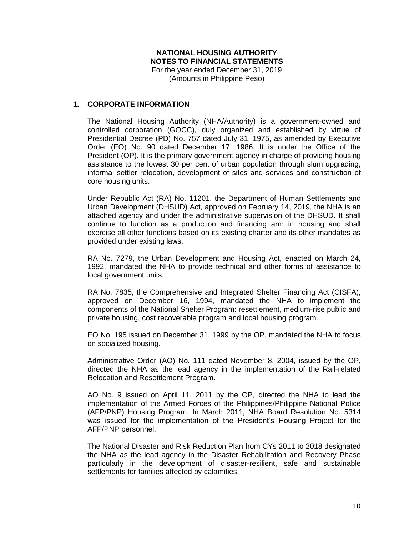## **NATIONAL HOUSING AUTHORITY NOTES TO FINANCIAL STATEMENTS** For the year ended December 31, 2019 (Amounts in Philippine Peso)

## **1. CORPORATE INFORMATION**

The National Housing Authority (NHA/Authority) is a government-owned and controlled corporation (GOCC), duly organized and established by virtue of Presidential Decree (PD) No. 757 dated July 31, 1975, as amended by Executive Order (EO) No. 90 dated December 17, 1986. It is under the Office of the President (OP). It is the primary government agency in charge of providing housing assistance to the lowest 30 per cent of urban population through slum upgrading, informal settler relocation, development of sites and services and construction of core housing units.

Under Republic Act (RA) No. 11201, the Department of Human Settlements and Urban Development (DHSUD) Act, approved on February 14, 2019, the NHA is an attached agency and under the administrative supervision of the DHSUD. It shall continue to function as a production and financing arm in housing and shall exercise all other functions based on its existing charter and its other mandates as provided under existing laws.

RA No. 7279, the Urban Development and Housing Act, enacted on March 24, 1992, mandated the NHA to provide technical and other forms of assistance to local government units.

RA No. 7835, the Comprehensive and Integrated Shelter Financing Act (CISFA), approved on December 16, 1994, mandated the NHA to implement the components of the National Shelter Program: resettlement, medium-rise public and private housing, cost recoverable program and local housing program.

EO No. 195 issued on December 31, 1999 by the OP, mandated the NHA to focus on socialized housing.

Administrative Order (AO) No. 111 dated November 8, 2004, issued by the OP, directed the NHA as the lead agency in the implementation of the Rail-related Relocation and Resettlement Program.

AO No. 9 issued on April 11, 2011 by the OP, directed the NHA to lead the implementation of the Armed Forces of the Philippines/Philippine National Police (AFP/PNP) Housing Program. In March 2011, NHA Board Resolution No. 5314 was issued for the implementation of the President's Housing Project for the AFP/PNP personnel.

The National Disaster and Risk Reduction Plan from CYs 2011 to 2018 designated the NHA as the lead agency in the Disaster Rehabilitation and Recovery Phase particularly in the development of disaster-resilient, safe and sustainable settlements for families affected by calamities.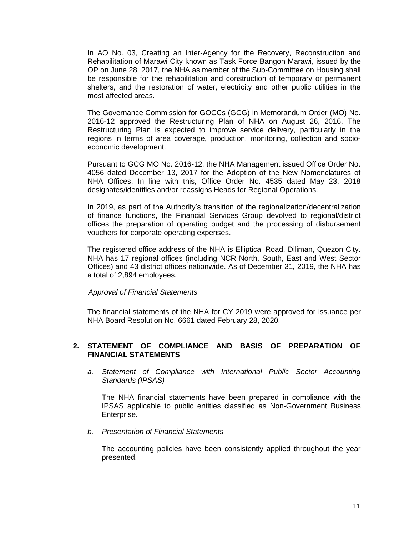In AO No. 03, Creating an Inter-Agency for the Recovery, Reconstruction and Rehabilitation of Marawi City known as Task Force Bangon Marawi, issued by the OP on June 28, 2017, the NHA as member of the Sub-Committee on Housing shall be responsible for the rehabilitation and construction of temporary or permanent shelters, and the restoration of water, electricity and other public utilities in the most affected areas.

The Governance Commission for GOCCs (GCG) in Memorandum Order (MO) No. 2016-12 approved the Restructuring Plan of NHA on August 26, 2016. The Restructuring Plan is expected to improve service delivery, particularly in the regions in terms of area coverage, production, monitoring, collection and socioeconomic development.

Pursuant to GCG MO No. 2016-12, the NHA Management issued Office Order No. 4056 dated December 13, 2017 for the Adoption of the New Nomenclatures of NHA Offices. In line with this, Office Order No. 4535 dated May 23, 2018 designates/identifies and/or reassigns Heads for Regional Operations.

In 2019, as part of the Authority's transition of the regionalization/decentralization of finance functions, the Financial Services Group devolved to regional/district offices the preparation of operating budget and the processing of disbursement vouchers for corporate operating expenses.

The registered office address of the NHA is Elliptical Road, Diliman, Quezon City. NHA has 17 regional offices (including NCR North, South, East and West Sector Offices) and 43 district offices nationwide. As of December 31, 2019, the NHA has a total of 2,894 employees.

#### *Approval of Financial Statements*

The financial statements of the NHA for CY 2019 were approved for issuance per NHA Board Resolution No. 6661 dated February 28, 2020.

# **2. STATEMENT OF COMPLIANCE AND BASIS OF PREPARATION OF FINANCIAL STATEMENTS**

*a. Statement of Compliance with International Public Sector Accounting Standards (IPSAS)* 

The NHA financial statements have been prepared in compliance with the IPSAS applicable to public entities classified as Non-Government Business Enterprise.

*b. Presentation of Financial Statements*

The accounting policies have been consistently applied throughout the year presented.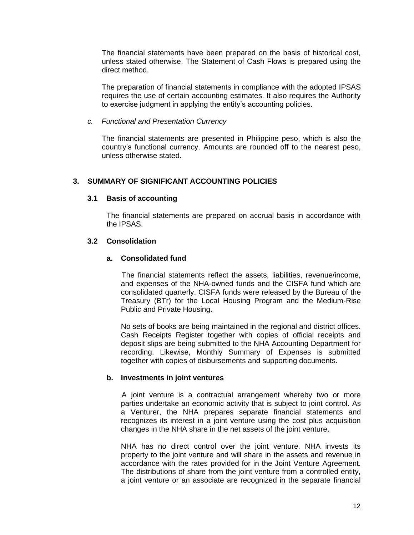The financial statements have been prepared on the basis of historical cost, unless stated otherwise. The Statement of Cash Flows is prepared using the direct method.

The preparation of financial statements in compliance with the adopted IPSAS requires the use of certain accounting estimates. It also requires the Authority to exercise judgment in applying the entity's accounting policies.

### *c. Functional and Presentation Currency*

The financial statements are presented in Philippine peso, which is also the country's functional currency. Amounts are rounded off to the nearest peso, unless otherwise stated.

# **3. SUMMARY OF SIGNIFICANT ACCOUNTING POLICIES**

## **3.1 Basis of accounting**

The financial statements are prepared on accrual basis in accordance with the IPSAS.

# **3.2 Consolidation**

## **a. Consolidated fund**

The financial statements reflect the assets, liabilities, revenue/income, and expenses of the NHA-owned funds and the CISFA fund which are consolidated quarterly. CISFA funds were released by the Bureau of the Treasury (BTr) for the Local Housing Program and the Medium-Rise Public and Private Housing.

No sets of books are being maintained in the regional and district offices. Cash Receipts Register together with copies of official receipts and deposit slips are being submitted to the NHA Accounting Department for recording. Likewise, Monthly Summary of Expenses is submitted together with copies of disbursements and supporting documents.

# **b. Investments in joint ventures**

A joint venture is a contractual arrangement whereby two or more parties undertake an economic activity that is subject to joint control. As a Venturer, the NHA prepares separate financial statements and recognizes its interest in a joint venture using the cost plus acquisition changes in the NHA share in the net assets of the joint venture.

NHA has no direct control over the joint venture. NHA invests its property to the joint venture and will share in the assets and revenue in accordance with the rates provided for in the Joint Venture Agreement. The distributions of share from the joint venture from a controlled entity, a joint venture or an associate are recognized in the separate financial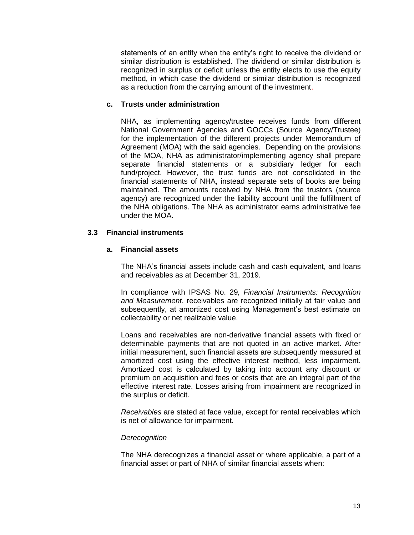statements of an entity when the entity's right to receive the dividend or similar distribution is established. The dividend or similar distribution is recognized in surplus or deficit unless the entity elects to use the equity method, in which case the dividend or similar distribution is recognized as a reduction from the carrying amount of the investment.

## **c. Trusts under administration**

NHA, as implementing agency/trustee receives funds from different National Government Agencies and GOCCs (Source Agency/Trustee) for the implementation of the different projects under Memorandum of Agreement (MOA) with the said agencies. Depending on the provisions of the MOA, NHA as administrator/implementing agency shall prepare separate financial statements or a subsidiary ledger for each fund/project. However, the trust funds are not consolidated in the financial statements of NHA, instead separate sets of books are being maintained. The amounts received by NHA from the trustors (source agency) are recognized under the liability account until the fulfillment of the NHA obligations. The NHA as administrator earns administrative fee under the MOA.

# **3.3 Financial instruments**

## **a. Financial assets**

The NHA's financial assets include cash and cash equivalent, and loans and receivables as at December 31, 2019.

In compliance with IPSAS No. 29*, Financial Instruments: Recognition and Measurement*, receivables are recognized initially at fair value and subsequently, at amortized cost using Management's best estimate on collectability or net realizable value.

Loans and receivables are non-derivative financial assets with fixed or determinable payments that are not quoted in an active market. After initial measurement, such financial assets are subsequently measured at amortized cost using the effective interest method, less impairment. Amortized cost is calculated by taking into account any discount or premium on acquisition and fees or costs that are an integral part of the effective interest rate. Losses arising from impairment are recognized in the surplus or deficit.

*Receivables* are stated at face value, except for rental receivables which is net of allowance for impairment.

### *Derecognition*

The NHA derecognizes a financial asset or where applicable, a part of a financial asset or part of NHA of similar financial assets when: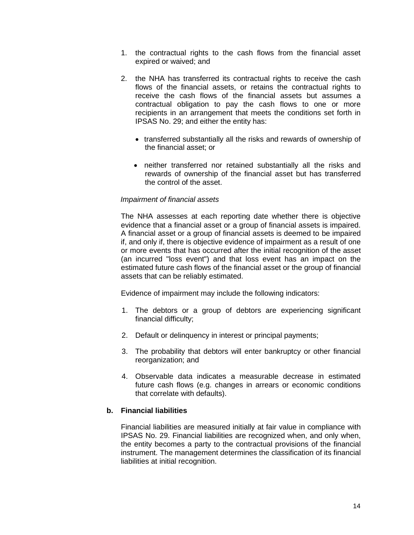- 1. the contractual rights to the cash flows from the financial asset expired or waived; and
- 2. the NHA has transferred its contractual rights to receive the cash flows of the financial assets, or retains the contractual rights to receive the cash flows of the financial assets but assumes a contractual obligation to pay the cash flows to one or more recipients in an arrangement that meets the conditions set forth in IPSAS No. 29; and either the entity has:
	- transferred substantially all the risks and rewards of ownership of the financial asset; or
	- neither transferred nor retained substantially all the risks and rewards of ownership of the financial asset but has transferred the control of the asset.

## *Impairment of financial assets*

The NHA assesses at each reporting date whether there is objective evidence that a financial asset or a group of financial assets is impaired. A financial asset or a group of financial assets is deemed to be impaired if, and only if, there is objective evidence of impairment as a result of one or more events that has occurred after the initial recognition of the asset (an incurred "loss event") and that loss event has an impact on the estimated future cash flows of the financial asset or the group of financial assets that can be reliably estimated.

Evidence of impairment may include the following indicators:

- 1. The debtors or a group of debtors are experiencing significant financial difficulty;
- 2. Default or delinquency in interest or principal payments;
- 3. The probability that debtors will enter bankruptcy or other financial reorganization; and
- 4. Observable data indicates a measurable decrease in estimated future cash flows (e.g. changes in arrears or economic conditions that correlate with defaults).

### **b. Financial liabilities**

Financial liabilities are measured initially at fair value in compliance with IPSAS No. 29. Financial liabilities are recognized when, and only when, the entity becomes a party to the contractual provisions of the financial instrument. The management determines the classification of its financial liabilities at initial recognition.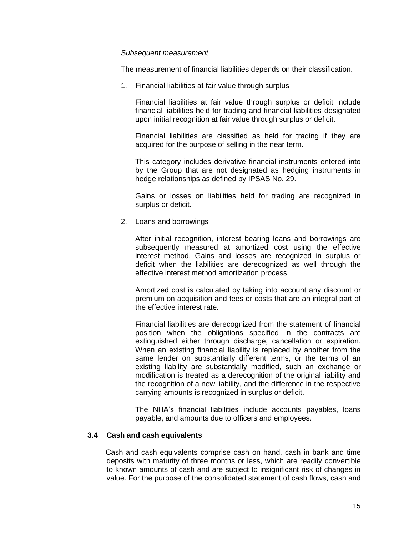### *Subsequent measurement*

The measurement of financial liabilities depends on their classification.

1. Financial liabilities at fair value through surplus

Financial liabilities at fair value through surplus or deficit include financial liabilities held for trading and financial liabilities designated upon initial recognition at fair value through surplus or deficit.

Financial liabilities are classified as held for trading if they are acquired for the purpose of selling in the near term.

This category includes derivative financial instruments entered into by the Group that are not designated as hedging instruments in hedge relationships as defined by IPSAS No. 29.

Gains or losses on liabilities held for trading are recognized in surplus or deficit.

2. Loans and borrowings

After initial recognition, interest bearing loans and borrowings are subsequently measured at amortized cost using the effective interest method. Gains and losses are recognized in surplus or deficit when the liabilities are derecognized as well through the effective interest method amortization process.

Amortized cost is calculated by taking into account any discount or premium on acquisition and fees or costs that are an integral part of the effective interest rate.

Financial liabilities are derecognized from the statement of financial position when the obligations specified in the contracts are extinguished either through discharge, cancellation or expiration. When an existing financial liability is replaced by another from the same lender on substantially different terms, or the terms of an existing liability are substantially modified, such an exchange or modification is treated as a derecognition of the original liability and the recognition of a new liability, and the difference in the respective carrying amounts is recognized in surplus or deficit.

The NHA's financial liabilities include accounts payables, loans payable, and amounts due to officers and employees.

### **3.4 Cash and cash equivalents**

 Cash and cash equivalents comprise cash on hand, cash in bank and time deposits with maturity of three months or less, which are readily convertible to known amounts of cash and are subject to insignificant risk of changes in value. For the purpose of the consolidated statement of cash flows, cash and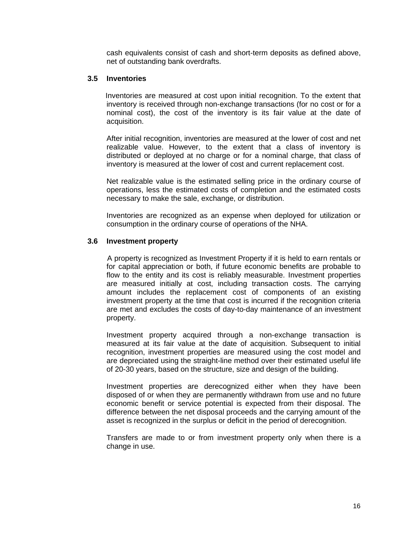cash equivalents consist of cash and short-term deposits as defined above, net of outstanding bank overdrafts.

### **3.5 Inventories**

 Inventories are measured at cost upon initial recognition. To the extent that inventory is received through non-exchange transactions (for no cost or for a nominal cost), the cost of the inventory is its fair value at the date of acquisition.

After initial recognition, inventories are measured at the lower of cost and net realizable value. However, to the extent that a class of inventory is distributed or deployed at no charge or for a nominal charge, that class of inventory is measured at the lower of cost and current replacement cost.

Net realizable value is the estimated selling price in the ordinary course of operations, less the estimated costs of completion and the estimated costs necessary to make the sale, exchange, or distribution.

Inventories are recognized as an expense when deployed for utilization or consumption in the ordinary course of operations of the NHA.

## **3.6 Investment property**

A property is recognized as Investment Property if it is held to earn rentals or for capital appreciation or both, if future economic benefits are probable to flow to the entity and its cost is reliably measurable. Investment properties are measured initially at cost, including transaction costs. The carrying amount includes the replacement cost of components of an existing investment property at the time that cost is incurred if the recognition criteria are met and excludes the costs of day-to-day maintenance of an investment property.

Investment property acquired through a non-exchange transaction is measured at its fair value at the date of acquisition. Subsequent to initial recognition, investment properties are measured using the cost model and are depreciated using the straight-line method over their estimated useful life of 20-30 years, based on the structure, size and design of the building.

Investment properties are derecognized either when they have been disposed of or when they are permanently withdrawn from use and no future economic benefit or service potential is expected from their disposal. The difference between the net disposal proceeds and the carrying amount of the asset is recognized in the surplus or deficit in the period of derecognition.

Transfers are made to or from investment property only when there is a change in use.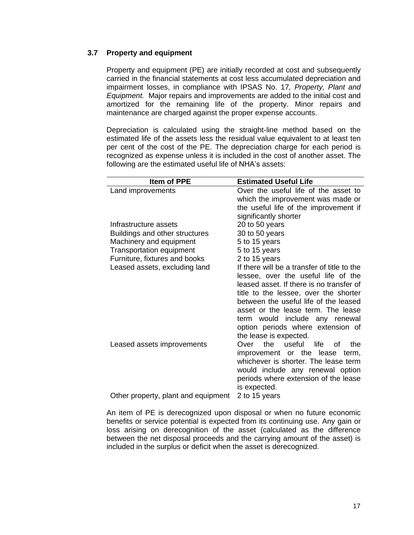# **3.7 Property and equipment**

Property and equipment (PE) are initially recorded at cost and subsequently carried in the financial statements at cost less accumulated depreciation and impairment losses, in compliance with IPSAS No. 17*, Property, Plant and Equipment.* Major repairs and improvements are added to the initial cost and amortized for the remaining life of the property. Minor repairs and maintenance are charged against the proper expense accounts.

Depreciation is calculated using the straight-line method based on the estimated life of the assets less the residual value equivalent to at least ten per cent of the cost of the PE. The depreciation charge for each period is recognized as expense unless it is included in the cost of another asset. The following are the estimated useful life of NHA's assets:

| <b>Item of PPE</b><br><b>Estimated Useful Life</b>                           |      |
|------------------------------------------------------------------------------|------|
| Land improvements<br>Over the useful life of the asset to                    |      |
| which the improvement was made or                                            |      |
| the useful life of the improvement if                                        |      |
| significantly shorter                                                        |      |
| 20 to 50 years<br>Infrastructure assets                                      |      |
| 30 to 50 years<br>Buildings and other structures                             |      |
| Machinery and equipment<br>5 to 15 years                                     |      |
| <b>Transportation equipment</b><br>5 to 15 years                             |      |
| Furniture, fixtures and books<br>2 to 15 years                               |      |
| If there will be a transfer of title to the<br>Leased assets, excluding land |      |
| lessee, over the useful life of the                                          |      |
| leased asset. If there is no transfer of                                     |      |
| title to the lessee, over the shorter                                        |      |
| between the useful life of the leased                                        |      |
| asset or the lease term. The lease                                           |      |
| term would include any renewal                                               |      |
| option periods where extension of                                            |      |
| the lease is expected.                                                       |      |
| the<br>useful<br>Leased assets improvements<br>life.<br>Over<br>Ωf           | the. |
| improvement or the lease term,                                               |      |
| whichever is shorter. The lease term                                         |      |
| would include any renewal option                                             |      |
| periods where extension of the lease                                         |      |
| is expected.                                                                 |      |
| Other property, plant and equipment<br>2 to 15 years                         |      |

An item of PE is derecognized upon disposal or when no future economic benefits or service potential is expected from its continuing use. Any gain or loss arising on derecognition of the asset (calculated as the difference between the net disposal proceeds and the carrying amount of the asset) is included in the surplus or deficit when the asset is derecognized.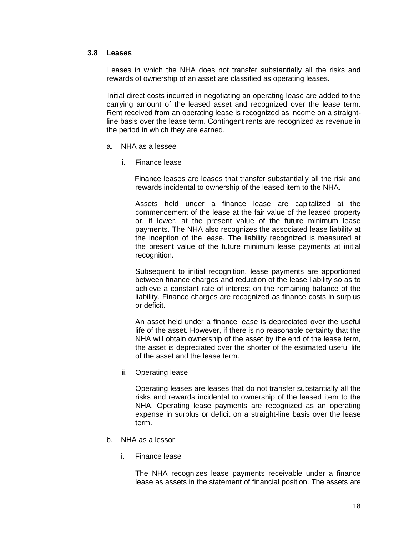### **3.8 Leases**

Leases in which the NHA does not transfer substantially all the risks and rewards of ownership of an asset are classified as operating leases.

Initial direct costs incurred in negotiating an operating lease are added to the carrying amount of the leased asset and recognized over the lease term. Rent received from an operating lease is recognized as income on a straightline basis over the lease term. Contingent rents are recognized as revenue in the period in which they are earned.

- a. NHA as a lessee
	- i. Finance lease

 Finance leases are leases that transfer substantially all the risk and rewards incidental to ownership of the leased item to the NHA.

Assets held under a finance lease are capitalized at the commencement of the lease at the fair value of the leased property or, if lower, at the present value of the future minimum lease payments. The NHA also recognizes the associated lease liability at the inception of the lease. The liability recognized is measured at the present value of the future minimum lease payments at initial recognition.

Subsequent to initial recognition, lease payments are apportioned between finance charges and reduction of the lease liability so as to achieve a constant rate of interest on the remaining balance of the liability. Finance charges are recognized as finance costs in surplus or deficit.

An asset held under a finance lease is depreciated over the useful life of the asset. However, if there is no reasonable certainty that the NHA will obtain ownership of the asset by the end of the lease term, the asset is depreciated over the shorter of the estimated useful life of the asset and the lease term.

ii. Operating lease

Operating leases are leases that do not transfer substantially all the risks and rewards incidental to ownership of the leased item to the NHA. Operating lease payments are recognized as an operating expense in surplus or deficit on a straight-line basis over the lease term.

- b. NHA as a lessor
	- i. Finance lease

The NHA recognizes lease payments receivable under a finance lease as assets in the statement of financial position. The assets are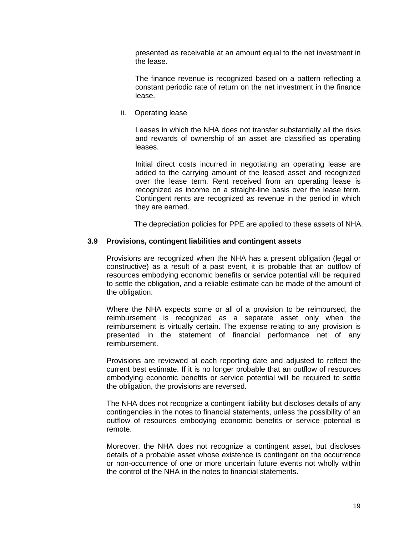presented as receivable at an amount equal to the net investment in the lease.

The finance revenue is recognized based on a pattern reflecting a constant periodic rate of return on the net investment in the finance lease.

ii. Operating lease

Leases in which the NHA does not transfer substantially all the risks and rewards of ownership of an asset are classified as operating leases.

Initial direct costs incurred in negotiating an operating lease are added to the carrying amount of the leased asset and recognized over the lease term. Rent received from an operating lease is recognized as income on a straight-line basis over the lease term. Contingent rents are recognized as revenue in the period in which they are earned.

The depreciation policies for PPE are applied to these assets of NHA.

### **3.9 Provisions, contingent liabilities and contingent assets**

Provisions are recognized when the NHA has a present obligation (legal or constructive) as a result of a past event, it is probable that an outflow of resources embodying economic benefits or service potential will be required to settle the obligation, and a reliable estimate can be made of the amount of the obligation.

Where the NHA expects some or all of a provision to be reimbursed, the reimbursement is recognized as a separate asset only when the reimbursement is virtually certain. The expense relating to any provision is presented in the statement of financial performance net of any reimbursement.

Provisions are reviewed at each reporting date and adjusted to reflect the current best estimate. If it is no longer probable that an outflow of resources embodying economic benefits or service potential will be required to settle the obligation, the provisions are reversed.

The NHA does not recognize a contingent liability but discloses details of any contingencies in the notes to financial statements, unless the possibility of an outflow of resources embodying economic benefits or service potential is remote.

Moreover, the NHA does not recognize a contingent asset, but discloses details of a probable asset whose existence is contingent on the occurrence or non-occurrence of one or more uncertain future events not wholly within the control of the NHA in the notes to financial statements.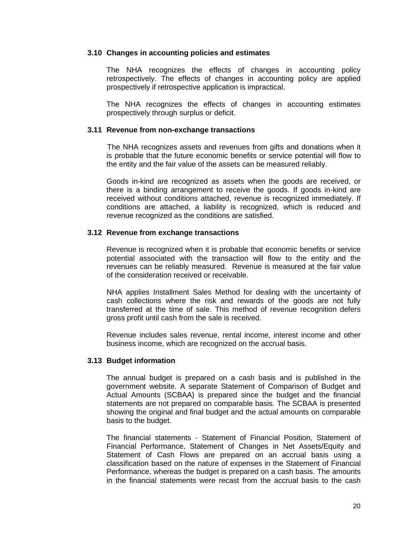### **3.10 Changes in accounting policies and estimates**

The NHA recognizes the effects of changes in accounting policy retrospectively. The effects of changes in accounting policy are applied prospectively if retrospective application is impractical.

The NHA recognizes the effects of changes in accounting estimates prospectively through surplus or deficit.

#### **3.11 Revenue from non-exchange transactions**

The NHA recognizes assets and revenues from gifts and donations when it is probable that the future economic benefits or service potential will flow to the entity and the fair value of the assets can be measured reliably.

Goods in-kind are recognized as assets when the goods are received, or there is a binding arrangement to receive the goods. If goods in-kind are received without conditions attached, revenue is recognized immediately. If conditions are attached, a liability is recognized, which is reduced and revenue recognized as the conditions are satisfied.

### **3.12 Revenue from exchange transactions**

Revenue is recognized when it is probable that economic benefits or service potential associated with the transaction will flow to the entity and the revenues can be reliably measured. Revenue is measured at the fair value of the consideration received or receivable.

NHA applies Installment Sales Method for dealing with the uncertainty of cash collections where the risk and rewards of the goods are not fully transferred at the time of sale. This method of revenue recognition defers gross profit until cash from the sale is received.

Revenue includes sales revenue, rental income, interest income and other business income, which are recognized on the accrual basis.

#### **3.13 Budget information**

The annual budget is prepared on a cash basis and is published in the government website. A separate Statement of Comparison of Budget and Actual Amounts (SCBAA) is prepared since the budget and the financial statements are not prepared on comparable basis. The SCBAA is presented showing the original and final budget and the actual amounts on comparable basis to the budget.

The financial statements - Statement of Financial Position, Statement of Financial Performance, Statement of Changes in Net Assets/Equity and Statement of Cash Flows are prepared on an accrual basis using a classification based on the nature of expenses in the Statement of Financial Performance, whereas the budget is prepared on a cash basis. The amounts in the financial statements were recast from the accrual basis to the cash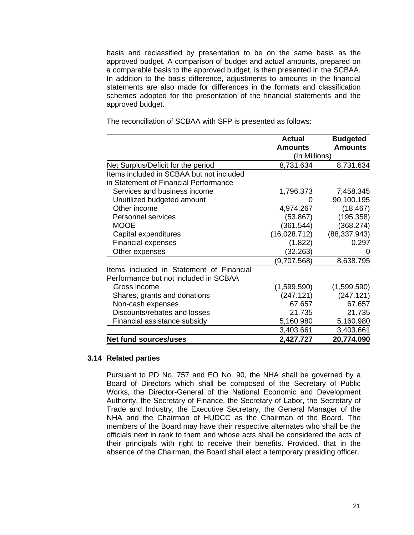basis and reclassified by presentation to be on the same basis as the approved budget. A comparison of budget and actual amounts, prepared on a comparable basis to the approved budget, is then presented in the SCBAA. In addition to the basis difference, adjustments to amounts in the financial statements are also made for differences in the formats and classification schemes adopted for the presentation of the financial statements and the approved budget.

The reconciliation of SCBAA with SFP is presented as follows:

|                                          | <b>Actual</b>  | <b>Budgeted</b> |
|------------------------------------------|----------------|-----------------|
|                                          | <b>Amounts</b> | <b>Amounts</b>  |
|                                          | (In Millions)  |                 |
| Net Surplus/Deficit for the period       | 8,731.634      | 8,731.634       |
| Items included in SCBAA but not included |                |                 |
| in Statement of Financial Performance    |                |                 |
| Services and business income             | 1,796.373      | 7,458.345       |
| Unutilized budgeted amount               | $\Omega$       | 90,100.195      |
| Other income                             | 4,974.267      | (18.467)        |
| Personnel services                       | (53.867)       | (195.358)       |
| <b>MOOE</b>                              | (361.544)      | (368.274)       |
| Capital expenditures                     | (16,028.712)   | (88, 337.943)   |
| <b>Financial expenses</b>                | (1.822)        | 0.297           |
| Other expenses                           | (32.263)       |                 |
|                                          | (9,707.568)    | 8,638.795       |
| Items included in Statement of Financial |                |                 |
| Performance but not included in SCBAA    |                |                 |
| Gross income                             | (1,599.590)    | (1,599.590)     |
| Shares, grants and donations             | (247.121)      | (247.121)       |
| Non-cash expenses                        | 67.657         | 67.657          |
| Discounts/rebates and losses             | 21.735         | 21.735          |
| Financial assistance subsidy             | 5,160.980      | 5,160.980       |
|                                          | 3,403.661      | 3,403.661       |
| <b>Net fund sources/uses</b>             | 2,427.727      | 20,774.090      |

### **3.14 Related parties**

Pursuant to PD No. 757 and EO No. 90, the NHA shall be governed by a Board of Directors which shall be composed of the Secretary of Public Works, the Director-General of the National Economic and Development Authority, the Secretary of Finance, the Secretary of Labor, the Secretary of Trade and Industry, the Executive Secretary, the General Manager of the NHA and the Chairman of HUDCC as the Chairman of the Board. The members of the Board may have their respective alternates who shall be the officials next in rank to them and whose acts shall be considered the acts of their principals with right to receive their benefits. Provided, that in the absence of the Chairman, the Board shall elect a temporary presiding officer.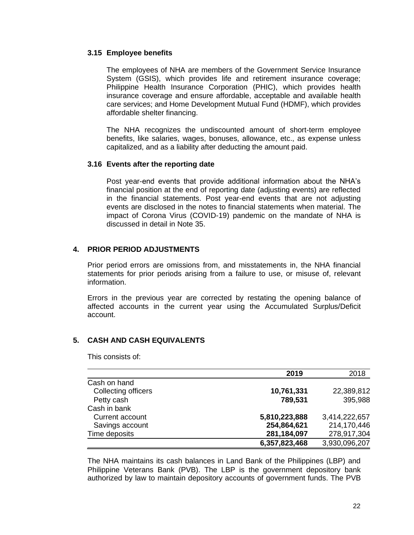## **3.15 Employee benefits**

The employees of NHA are members of the Government Service Insurance System (GSIS), which provides life and retirement insurance coverage; Philippine Health Insurance Corporation (PHIC), which provides health insurance coverage and ensure affordable, acceptable and available health care services; and Home Development Mutual Fund (HDMF), which provides affordable shelter financing.

The NHA recognizes the undiscounted amount of short-term employee benefits, like salaries, wages, bonuses, allowance, etc., as expense unless capitalized, and as a liability after deducting the amount paid.

## **3.16 Events after the reporting date**

Post year-end events that provide additional information about the NHA's financial position at the end of reporting date (adjusting events) are reflected in the financial statements. Post year-end events that are not adjusting events are disclosed in the notes to financial statements when material. The impact of Corona Virus (COVID-19) pandemic on the mandate of NHA is discussed in detail in Note 35.

# **4. PRIOR PERIOD ADJUSTMENTS**

Prior period errors are omissions from, and misstatements in, the NHA financial statements for prior periods arising from a failure to use, or misuse of, relevant information.

Errors in the previous year are corrected by restating the opening balance of affected accounts in the current year using the Accumulated Surplus/Deficit account.

# **5. CASH AND CASH EQUIVALENTS**

This consists of:

|                     | 2019          | 2018          |
|---------------------|---------------|---------------|
| Cash on hand        |               |               |
| Collecting officers | 10,761,331    | 22,389,812    |
| Petty cash          | 789,531       | 395,988       |
| Cash in bank        |               |               |
| Current account     | 5,810,223,888 | 3,414,222,657 |
| Savings account     | 254,864,621   | 214,170,446   |
| Time deposits       | 281,184,097   | 278,917,304   |
|                     | 6,357,823,468 | 3,930,096,207 |

The NHA maintains its cash balances in Land Bank of the Philippines (LBP) and Philippine Veterans Bank (PVB). The LBP is the government depository bank authorized by law to maintain depository accounts of government funds. The PVB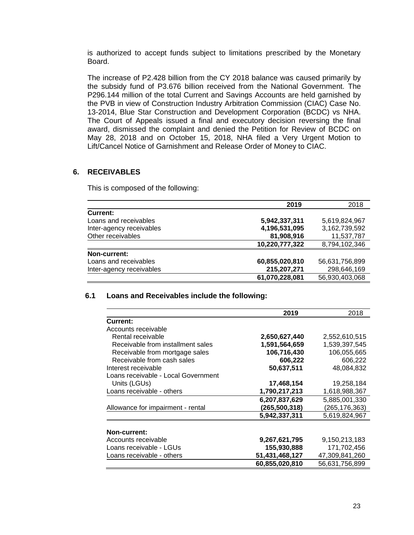is authorized to accept funds subject to limitations prescribed by the Monetary Board.

The increase of P2.428 billion from the CY 2018 balance was caused primarily by the subsidy fund of P3.676 billion received from the National Government. The P296.144 million of the total Current and Savings Accounts are held garnished by the PVB in view of Construction Industry Arbitration Commission (CIAC) Case No. 13-2014, Blue Star Construction and Development Corporation (BCDC) vs NHA. The Court of Appeals issued a final and executory decision reversing the final award, dismissed the complaint and denied the Petition for Review of BCDC on May 28, 2018 and on October 15, 2018, NHA filed a Very Urgent Motion to Lift/Cancel Notice of Garnishment and Release Order of Money to CIAC.

### **6. RECEIVABLES**

This is composed of the following:

|                          | 2019           | 2018           |
|--------------------------|----------------|----------------|
| <b>Current:</b>          |                |                |
| Loans and receivables    | 5,942,337,311  | 5,619,824,967  |
| Inter-agency receivables | 4,196,531,095  | 3,162,739,592  |
| Other receivables        | 81,908,916     | 11,537,787     |
|                          | 10,220,777,322 | 8,794,102,346  |
| Non-current:             |                |                |
| Loans and receivables    | 60,855,020,810 | 56,631,756,899 |
| Inter-agency receivables | 215,207,271    | 298,646,169    |
|                          | 61,070,228,081 | 56,930,403,068 |

## **6.1 Loans and Receivables include the following:**

|                                     | 2019           | 2018           |
|-------------------------------------|----------------|----------------|
| Current:                            |                |                |
| Accounts receivable                 |                |                |
| Rental receivable                   | 2,650,627,440  | 2,552,610,515  |
| Receivable from installment sales   | 1,591,564,659  | 1,539,397,545  |
| Receivable from mortgage sales      | 106,716,430    | 106,055,665    |
| Receivable from cash sales          | 606,222        | 606,222        |
| Interest receivable                 | 50,637,511     | 48,084,832     |
| Loans receivable - Local Government |                |                |
| Units (LGUs)                        | 17,468,154     | 19,258,184     |
| Loans receivable - others           | 1,790,217,213  | 1,618,988,367  |
|                                     | 6,207,837,629  | 5,885,001,330  |
| Allowance for impairment - rental   | (265,500,318)  | (265,176,363)  |
|                                     | 5,942,337,311  | 5.619.824.967  |
|                                     |                |                |
| Non-current:                        |                |                |
| Accounts receivable                 | 9,267,621,795  | 9,150,213,183  |
| Loans receivable - LGUs             | 155,930,888    | 171,702,456    |
| Loans receivable - others           | 51,431,468,127 | 47,309,841,260 |
|                                     | 60,855,020,810 | 56,631,756,899 |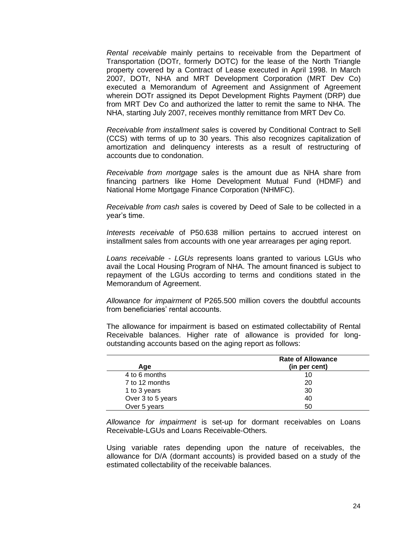*Rental receivable* mainly pertains to receivable from the Department of Transportation (DOTr, formerly DOTC) for the lease of the North Triangle property covered by a Contract of Lease executed in April 1998. In March 2007, DOTr, NHA and MRT Development Corporation (MRT Dev Co) executed a Memorandum of Agreement and Assignment of Agreement wherein DOTr assigned its Depot Development Rights Payment (DRP) due from MRT Dev Co and authorized the latter to remit the same to NHA. The NHA, starting July 2007, receives monthly remittance from MRT Dev Co.

*Receivable from installment sales* is covered by Conditional Contract to Sell (CCS) with terms of up to 30 years. This also recognizes capitalization of amortization and delinquency interests as a result of restructuring of accounts due to condonation.

*Receivable from mortgage sales* is the amount due as NHA share from financing partners like Home Development Mutual Fund (HDMF) and National Home Mortgage Finance Corporation (NHMFC).

*Receivable from cash sales* is covered by Deed of Sale to be collected in a year's time.

*Interests receivable* of P50.638 million pertains to accrued interest on installment sales from accounts with one year arrearages per aging report.

*Loans receivable - LGUs* represents loans granted to various LGUs who avail the Local Housing Program of NHA. The amount financed is subject to repayment of the LGUs according to terms and conditions stated in the Memorandum of Agreement.

*Allowance for impairment* of P265.500 million covers the doubtful accounts from beneficiaries' rental accounts.

The allowance for impairment is based on estimated collectability of Rental Receivable balances. Higher rate of allowance is provided for longoutstanding accounts based on the aging report as follows:

| Age               | <b>Rate of Allowance</b><br>(in per cent) |
|-------------------|-------------------------------------------|
| 4 to 6 months     | 10                                        |
| 7 to 12 months    | 20                                        |
| 1 to 3 years      | 30                                        |
| Over 3 to 5 years | 40                                        |
| Over 5 years      | 50                                        |

*Allowance for impairment* is set-up for dormant receivables on Loans Receivable-LGUs and Loans Receivable-Others*.*

Using variable rates depending upon the nature of receivables, the allowance for D/A (dormant accounts) is provided based on a study of the estimated collectability of the receivable balances.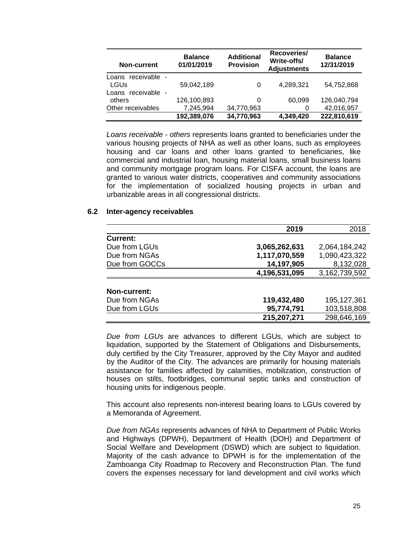| Non-current                | <b>Balance</b><br>01/01/2019 | <b>Additional</b><br><b>Provision</b> | Recoveries/<br>Write-offs/<br><b>Adjustments</b> | <b>Balance</b><br>12/31/2019 |
|----------------------------|------------------------------|---------------------------------------|--------------------------------------------------|------------------------------|
| Loans receivable -<br>LGUs | 59,042,189                   | 0                                     | 4,289,321                                        | 54,752,868                   |
| Loans receivable -         |                              |                                       |                                                  |                              |
| others                     | 126,100,893                  | 0                                     | 60,099                                           | 126,040,794                  |
| Other receivables          | 7,245,994                    | 34,770,963                            | 0                                                | 42,016,957                   |
|                            | 192,389,076                  | 34,770,963                            | 4,349,420                                        | 222,810,619                  |

*Loans receivable - others* represents loans granted to beneficiaries under the various housing projects of NHA as well as other loans, such as employees housing and car loans and other loans granted to beneficiaries, like commercial and industrial loan, housing material loans, small business loans and community mortgage program loans. For CISFA account, the loans are granted to various water districts, cooperatives and community associations for the implementation of socialized housing projects in urban and urbanizable areas in all congressional districts.

## **6.2 Inter-agency receivables**

|                 | 2019          | 2018          |
|-----------------|---------------|---------------|
| <b>Current:</b> |               |               |
| Due from LGUs   | 3,065,262,631 | 2,064,184,242 |
| Due from NGAs   | 1,117,070,559 | 1,090,423,322 |
| Due from GOCCs  | 14,197,905    | 8,132,028     |
|                 | 4,196,531,095 | 3,162,739,592 |
|                 |               |               |
| Non-current:    |               |               |
| Due from NGAs   | 119,432,480   | 195, 127, 361 |
| Due from LGUs   | 95,774,791    | 103,518,808   |
|                 | 215,207,271   | 298,646,169   |

*Due from LGUs* are advances to different LGUs, which are subject to liquidation, supported by the Statement of Obligations and Disbursements, duly certified by the City Treasurer, approved by the City Mayor and audited by the Auditor of the City. The advances are primarily for housing materials assistance for families affected by calamities, mobilization, construction of houses on stilts, footbridges, communal septic tanks and construction of housing units for indigenous people.

This account also represents non-interest bearing loans to LGUs covered by a Memoranda of Agreement.

*Due from NGAs* represents advances of NHA to Department of Public Works and Highways (DPWH), Department of Health (DOH) and Department of Social Welfare and Development (DSWD) which are subject to liquidation. Majority of the cash advance to DPWH is for the implementation of the Zamboanga City Roadmap to Recovery and Reconstruction Plan. The fund covers the expenses necessary for land development and civil works which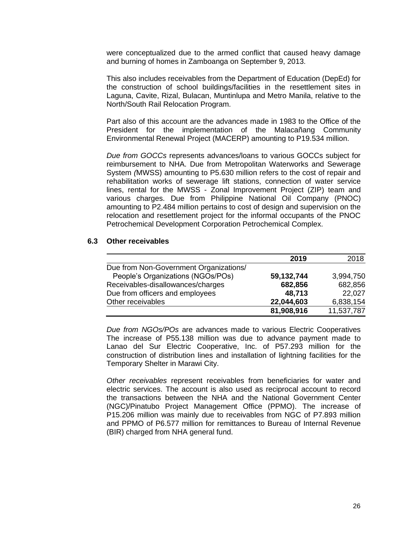were conceptualized due to the armed conflict that caused heavy damage and burning of homes in Zamboanga on September 9, 2013.

This also includes receivables from the Department of Education (DepEd) for the construction of school buildings/facilities in the resettlement sites in Laguna, Cavite, Rizal, Bulacan, Muntinlupa and Metro Manila, relative to the North/South Rail Relocation Program.

Part also of this account are the advances made in 1983 to the Office of the President for the implementation of the Malacañang Community Environmental Renewal Project (MACERP) amounting to P19.534 million.

*Due from GOCCs* represents advances/loans to various GOCCs subject for reimbursement to NHA. Due from Metropolitan Waterworks and Sewerage System *(*MWSS) amounting to P5.630 million refers to the cost of repair and rehabilitation works of sewerage lift stations, connection of water service lines, rental for the MWSS - Zonal Improvement Project (ZIP) team and various charges. Due from Philippine National Oil Company (PNOC) amounting to P2.484 million pertains to cost of design and supervision on the relocation and resettlement project for the informal occupants of the PNOC Petrochemical Development Corporation Petrochemical Complex.

#### **6.3 Other receivables**

|                                        | 2019       | 2018       |
|----------------------------------------|------------|------------|
| Due from Non-Government Organizations/ |            |            |
| People's Organizations (NGOs/POs)      | 59,132,744 | 3,994,750  |
| Receivables-disallowances/charges      | 682,856    | 682,856    |
| Due from officers and employees        | 48,713     | 22,027     |
| Other receivables                      | 22,044,603 | 6,838,154  |
|                                        | 81,908,916 | 11,537,787 |

*Due from NGOs/POs* are advances made to various Electric Cooperatives The increase of P55.138 million was due to advance payment made to Lanao del Sur Electric Cooperative, Inc. of P57.293 million for the construction of distribution lines and installation of lightning facilities for the Temporary Shelter in Marawi City.

*Other receivables* represent receivables from beneficiaries for water and electric services. The account is also used as reciprocal account to record the transactions between the NHA and the National Government Center (NGC)/Pinatubo Project Management Office (PPMO). The increase of P15.206 million was mainly due to receivables from NGC of P7.893 million and PPMO of P6.577 million for remittances to Bureau of Internal Revenue (BIR) charged from NHA general fund.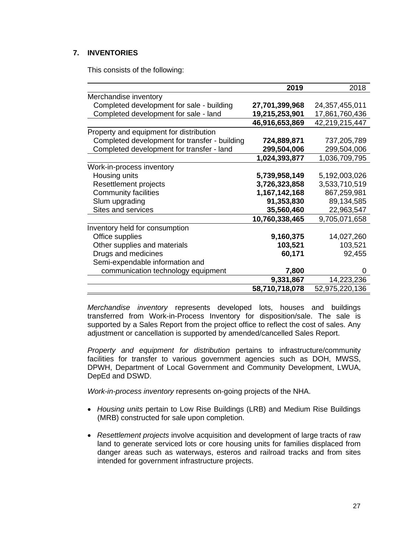# **7. INVENTORIES**

This consists of the following:

|                                               | 2019           | 2018           |
|-----------------------------------------------|----------------|----------------|
| Merchandise inventory                         |                |                |
| Completed development for sale - building     | 27,701,399,968 | 24,357,455,011 |
| Completed development for sale - land         | 19,215,253,901 | 17,861,760,436 |
|                                               | 46,916,653,869 | 42,219,215,447 |
| Property and equipment for distribution       |                |                |
| Completed development for transfer - building | 724,889,871    | 737,205,789    |
| Completed development for transfer - land     | 299,504,006    | 299,504,006    |
|                                               | 1,024,393,877  | 1,036,709,795  |
| Work-in-process inventory                     |                |                |
| Housing units                                 | 5,739,958,149  | 5,192,003,026  |
| Resettlement projects                         | 3,726,323,858  | 3,533,710,519  |
| <b>Community facilities</b>                   | 1,167,142,168  | 867,259,981    |
| Slum upgrading                                | 91,353,830     | 89,134,585     |
| Sites and services                            | 35,560,460     | 22,963,547     |
|                                               | 10,760,338,465 | 9,705,071,658  |
| Inventory held for consumption                |                |                |
| Office supplies                               | 9,160,375      | 14,027,260     |
| Other supplies and materials                  | 103,521        | 103,521        |
| Drugs and medicines                           | 60,171         | 92,455         |
| Semi-expendable information and               |                |                |
| communication technology equipment            | 7,800          |                |
|                                               | 9,331,867      | 14,223,236     |
|                                               | 58,710,718,078 | 52,975,220,136 |

*Merchandise inventory* represents developed lots, houses and buildings transferred from Work-in-Process Inventory for disposition/sale. The sale is supported by a Sales Report from the project office to reflect the cost of sales. Any adjustment or cancellation is supported by amended/cancelled Sales Report.

*Property and equipment for distribution* pertains to infrastructure/community facilities for transfer to various government agencies such as DOH, MWSS, DPWH, Department of Local Government and Community Development, LWUA, DepEd and DSWD.

*Work-in-process inventory* represents on-going projects of the NHA.

- • *Housing units* pertain to Low Rise Buildings (LRB) and Medium Rise Buildings (MRB) constructed for sale upon completion.
- • *Resettlement projects* involve acquisition and development of large tracts of raw land to generate serviced lots or core housing units for families displaced from danger areas such as waterways, esteros and railroad tracks and from sites intended for government infrastructure projects.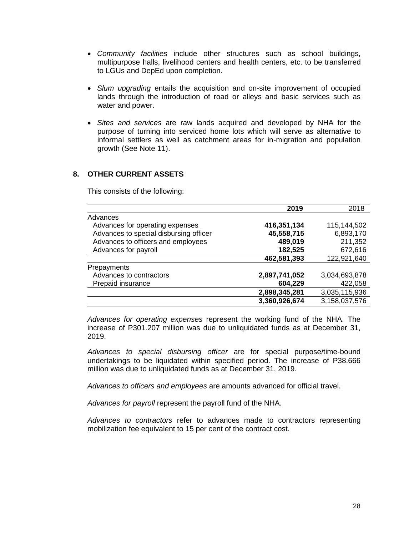- • *Community facilities* include other structures such as school buildings, multipurpose halls, livelihood centers and health centers, etc. to be transferred to LGUs and DepEd upon completion.
- • *Slum upgrading* entails the acquisition and on-site improvement of occupied lands through the introduction of road or alleys and basic services such as water and power.
- • *Sites and services* are raw lands acquired and developed by NHA for the purpose of turning into serviced home lots which will serve as alternative to informal settlers as well as catchment areas for in-migration and population growth (See Note 11).

# **8. OTHER CURRENT ASSETS**

This consists of the following:

|                                        | 2019          | 2018          |
|----------------------------------------|---------------|---------------|
| Advances                               |               |               |
| Advances for operating expenses        | 416,351,134   | 115,144,502   |
| Advances to special disbursing officer | 45,558,715    | 6,893,170     |
| Advances to officers and employees     | 489,019       | 211,352       |
| Advances for payroll                   | 182,525       | 672,616       |
|                                        | 462,581,393   | 122,921,640   |
| Prepayments                            |               |               |
| Advances to contractors                | 2,897,741,052 | 3,034,693,878 |
| Prepaid insurance                      | 604,229       | 422,058       |
|                                        | 2,898,345,281 | 3,035,115,936 |
|                                        | 3,360,926,674 | 3,158,037,576 |

*Advances for operating expenses* represent the working fund of the NHA. The increase of P301.207 million was due to unliquidated funds as at December 31, 2019.

*Advances to special disbursing officer* are for special purpose/time-bound undertakings to be liquidated within specified period. The increase of P38.666 million was due to unliquidated funds as at December 31, 2019.

*Advances to officers and employees* are amounts advanced for official travel.

*Advances for payroll* represent the payroll fund of the NHA.

*Advances to contractors* refer to advances made to contractors representing mobilization fee equivalent to 15 per cent of the contract cost.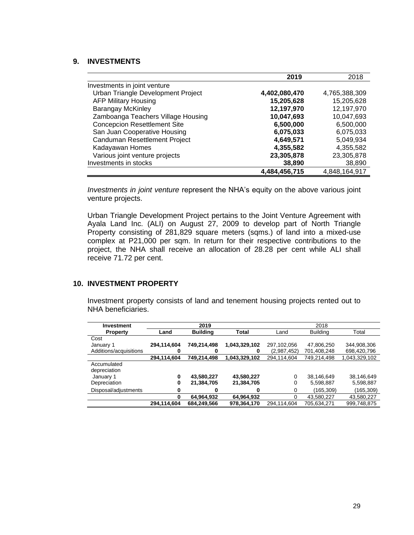## **9. INVESTMENTS**

|                                     | 2019          | 2018          |
|-------------------------------------|---------------|---------------|
| Investments in joint venture        |               |               |
| Urban Triangle Development Project  | 4,402,080,470 | 4,765,388,309 |
| <b>AFP Military Housing</b>         | 15,205,628    | 15,205,628    |
| <b>Barangay McKinley</b>            | 12,197,970    | 12,197,970    |
| Zamboanga Teachers Village Housing  | 10,047,693    | 10,047,693    |
| <b>Concepcion Resettlement Site</b> | 6,500,000     | 6,500,000     |
| San Juan Cooperative Housing        | 6,075,033     | 6,075,033     |
| Canduman Resettlement Project       | 4,649,571     | 5,049,934     |
| Kadayawan Homes                     | 4,355,582     | 4,355,582     |
| Various joint venture projects      | 23,305,878    | 23,305,878    |
| Investments in stocks               | 38,890        | 38,890        |
|                                     | 4,484,456,715 | 4,848,164,917 |

*Investments in joint venture* represent the NHA's equity on the above various joint venture projects.

Urban Triangle Development Project pertains to the Joint Venture Agreement with Ayala Land Inc. (ALI) on August 27, 2009 to develop part of North Triangle Property consisting of 281,829 square meters (sqms.) of land into a mixed-use complex at P21,000 per sqm. In return for their respective contributions to the project, the NHA shall receive an allocation of 28.28 per cent while ALI shall receive 71.72 per cent.

### **10. INVESTMENT PROPERTY**

Investment property consists of land and tenement housing projects rented out to NHA beneficiaries.

| Land        | <b>Building</b> | <b>Total</b>  | Land        | <b>Building</b> | Total         |
|-------------|-----------------|---------------|-------------|-----------------|---------------|
|             |                 |               |             |                 |               |
| 294,114,604 | 749,214,498     | 1,043,329,102 | 297,102,056 | 47,806,250      | 344,908,306   |
| O           | 0               | 0             | (2,987,452) | 701,408,248     | 698,420,796   |
| 294,114,604 | 749,214,498     | 1,043,329,102 | 294,114,604 | 749,214,498     | 1,043,329,102 |
|             |                 |               |             |                 |               |
|             |                 |               |             |                 |               |
| 0           | 43,580,227      | 43,580,227    | 0           | 38,146,649      | 38,146,649    |
| 0           | 21,384,705      | 21,384,705    | 0           | 5,598,887       | 5,598,887     |
| 0           | 0               | 0             | 0           | (165,309)       | (165,309)     |
| 0           | 64,964,932      | 64,964,932    | 0           | 43,580,227      | 43,580,227    |
| 294,114,604 | 684,249,566     | 978,364,170   | 294,114,604 | 705,634,271     | 999,748,875   |
|             |                 | 2019          |             |                 | 2018          |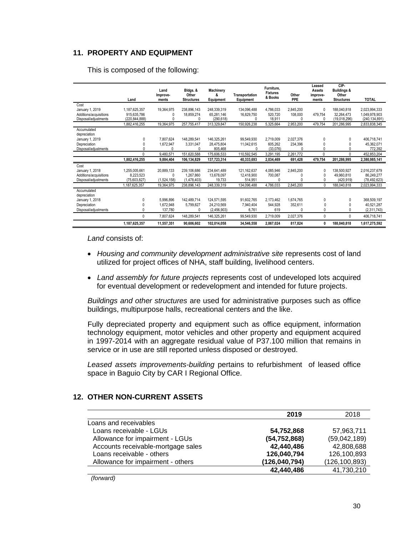# **11. PROPERTY AND EQUIPMENT**

|                             | Land          | Land<br>Improve-<br>ments | Bldgs. &<br>Other<br><b>Structures</b> | Machinery<br>&<br>Equipment | <b>Transportation</b><br>Equipment | Furniture,<br><b>Fixtures</b><br>& Books | Other<br>PPE | Leased<br>Assets<br>improve-<br>ments | CIP-<br><b>Buildings &amp;</b><br>Other<br><b>Structures</b> | <b>TOTAL</b>    |
|-----------------------------|---------------|---------------------------|----------------------------------------|-----------------------------|------------------------------------|------------------------------------------|--------------|---------------------------------------|--------------------------------------------------------------|-----------------|
| Cost                        |               |                           |                                        |                             |                                    |                                          |              |                                       |                                                              |                 |
| January 1, 2019             | 1,187,625,357 | 19,364,975                | 238,896,143                            | 248,339,319                 | 134,096,488                        | 4,786,033                                | 2.845.200    | 0                                     | 188,040,818                                                  | 2.023.994.333   |
| Additions/acquisitions      | 915.635.786   | Λ                         | 18.859.274                             | 65.281.146                  | 16.829.750                         | 520.720                                  | 108,000      | 479.754                               | 32.264.473                                                   | 1.049.978.903   |
| Disposal/adiustments        | (220.844.888) | Λ                         | U                                      | (290.618)                   | Λ                                  | 18.911                                   |              | $\Omega$                              | (19,018,296)                                                 | (240, 134, 891) |
|                             | 1,882,416,255 | 19,364,975                | 257,755,417                            | 313,329,847                 | 150,926,238                        | 5,325,664                                | 2,953,200    | 479,754                               | 201,286,995                                                  | 2,833,838,345   |
| Accumulated<br>depreciation |               |                           |                                        |                             |                                    |                                          |              |                                       |                                                              |                 |
| January 1, 2019             | 0             | 7.807.624                 | 148.289.541                            | 146,325,261                 | 99.549.930                         | 2,719,009                                | 2.027.376    | $\Omega$                              | 0                                                            | 406,718,741     |
| Depreciation                |               | 1,672,947                 | 3,331,047                              | 28.475.804                  | 11.042.615                         | 605.262                                  | 234.396      |                                       | 0                                                            | 45.362.071      |
| Disposal/adjustments        |               | n                         | 0                                      | 805,468                     | n                                  | (33.076)                                 |              | O                                     | 0                                                            | 772,392         |
|                             | $\Omega$      | 9,480,571                 | 151,620,588                            | 175,606,533                 | 110,592,545                        | 3.291.195                                | 2,261,772    | 0                                     | 0                                                            | 452,853,204     |
|                             | 1,882,416,255 | 9.884.404                 | 106,134,829                            | 137,723,314                 | 40,333,693                         | 2,034,469                                | 691,428      | 479,754                               | 201,286,995                                                  | 2,380,985,141   |
| Cost                        |               |                           |                                        |                             |                                    |                                          |              |                                       |                                                              |                 |
| January 1, 2018             | 1,255,005,661 | 20,889,133                | 239.106.686                            | 234.641.489                 | 121.162.637                        | 4,085,946                                | 2,845,200    | 0                                     | 138,500,927                                                  | 2.016.237.679   |
| Additions/acquisitions      | 8.223.523     | O                         | 1.267.860                              | 13.678.097                  | 12.418.900                         | 700.087                                  |              | 0                                     | 49.960.810                                                   | 86.249.277      |
| Disposal/adjustments        | (75,603,827)  | (1,524,158)               | (1.478.403)                            | 19,733                      | 514.951                            |                                          |              | 0                                     | (420, 919)                                                   | (78, 492, 623)  |
|                             | ,187,625,357  | 19.364.975                | 238.896.143                            | 248,339,319                 | 134,096,488                        | 4,786,033                                | 2,845,200    | $\mathbf{0}$                          | 188,040,818                                                  | 2.023.994.333   |
| Accumulated<br>depreciation |               |                           |                                        |                             |                                    |                                          |              |                                       |                                                              |                 |
| January 1, 2018             | 0             | 5.996.896                 | 142.489.714                            | 124.571.595                 | 91.602.765                         | 2.173.462                                | 1,674,765    | 0                                     | 0                                                            | 368.509.197     |
| Depreciation                |               | 1.672.948                 | 5,799,827                              | 24.210.569                  | 7.940.404                          | 544.928                                  | 352,611      | 0                                     | 0                                                            | 40.521.287      |
| Disposal/adiustments        |               | 137,780                   | 0                                      | (2,456,903)                 | 6.761                              | 619                                      | $\Omega$     | 0                                     | 0                                                            | (2.311.743)     |
|                             | 0             | 7,807,624                 | 148,289,541                            | 146,325,261                 | 99,549,930                         | 2,719,009                                | 2,027,376    | 0                                     | 0                                                            | 406,718,741     |
|                             | 1,187,625,357 | 11.557.351                | 90.606.602                             | 102.014.058                 | 34.546.558                         | 2.067.024                                | 817.824      | 0                                     | 188.040.818                                                  | 1,617,275,592   |

This is composed of the following:

*Land* consists of:

- Housing and community development administrative site represents cost of land utilized for project offices of NHA, staff building, livelihood centers.
- • *Land assembly for future projects* represents cost of undeveloped lots acquired for eventual development or redevelopment and intended for future projects.

 *Buildings and other structures* are used for administrative purposes such as office buildings, multipurpose halls, recreational centers and the like.

 Fully depreciated property and equipment such as office equipment, information technology equipment, motor vehicles and other property and equipment acquired in 1997-2014 with an aggregate residual value of P37.100 million that remains in service or in use are still reported unless disposed or destroyed.

*Leased assets improvements-building* pertains to refurbishment of leased office space in Baguio City by CAR I Regional Office.

|                                    | 2019           | 2018            |
|------------------------------------|----------------|-----------------|
| Loans and receivables              |                |                 |
| Loans receivable - LGUs            | 54,752,868     | 57,963,711      |
| Allowance for impairment - LGUs    | (54, 752, 868) | (59,042,189)    |
| Accounts receivable-mortgage sales | 42,440,486     | 42,808,688      |
| Loans receivable - others          | 126,040,794    | 126,100,893     |
| Allowance for impairment - others  | (126,040,794)  | (126, 100, 893) |
|                                    | 42,440,486     | 41,730,210      |

# **12. OTHER NON-CURRENT ASSETS**

*(forward)*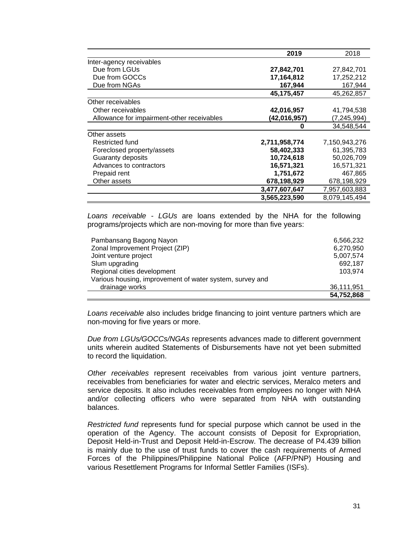|                                            | 2019          | 2018          |
|--------------------------------------------|---------------|---------------|
| Inter-agency receivables                   |               |               |
| Due from LGUs                              | 27,842,701    | 27,842,701    |
| Due from GOCCs                             | 17,164,812    | 17,252,212    |
| Due from NGAs                              | 167,944       | 167,944       |
|                                            | 45,175,457    | 45,262,857    |
| Other receivables                          |               |               |
| Other receivables                          | 42,016,957    | 41,794,538    |
| Allowance for impairment-other receivables | (42,016,957)  | (7, 245, 994) |
|                                            | 0             | 34,548,544    |
| Other assets                               |               |               |
| Restricted fund                            | 2,711,958,774 | 7,150,943,276 |
| Foreclosed property/assets                 | 58,402,333    | 61,395,783    |
| Guaranty deposits                          | 10,724,618    | 50,026,709    |
| Advances to contractors                    | 16,571,321    | 16,571,321    |
| Prepaid rent                               | 1,751,672     | 467,865       |
| Other assets                               | 678,198,929   | 678,198,929   |
|                                            | 3,477,607,647 | 7,957,603,883 |
|                                            | 3.565.223.590 | 8.079.145.494 |

 *Loans receivable - LGUs* are loans extended by the NHA for the following programs/projects which are non-moving for more than five years:

| Pambansang Bagong Nayon                                  | 6,566,232  |
|----------------------------------------------------------|------------|
| Zonal Improvement Project (ZIP)                          | 6,270,950  |
| Joint venture project                                    | 5,007,574  |
| Slum upgrading                                           | 692,187    |
| Regional cities development                              | 103.974    |
| Various housing, improvement of water system, survey and |            |
| drainage works                                           | 36,111,951 |
|                                                          | 54,752,868 |

*Loans receivable* also includes bridge financing to joint venture partners which are non-moving for five years or more.

*Due from LGUs/GOCCs/NGAs* represents advances made to different government units wherein audited Statements of Disbursements have not yet been submitted to record the liquidation.

*Other receivables* represent receivables from various joint venture partners, receivables from beneficiaries for water and electric services, Meralco meters and service deposits. It also includes receivables from employees no longer with NHA and/or collecting officers who were separated from NHA with outstanding balances.

*Restricted fund* represents fund for special purpose which cannot be used in the operation of the Agency. The account consists of Deposit for Expropriation, Deposit Held-in-Trust and Deposit Held-in-Escrow. The decrease of P4.439 billion is mainly due to the use of trust funds to cover the cash requirements of Armed Forces of the Philippines/Philippine National Police (AFP/PNP) Housing and various Resettlement Programs for Informal Settler Families (ISFs).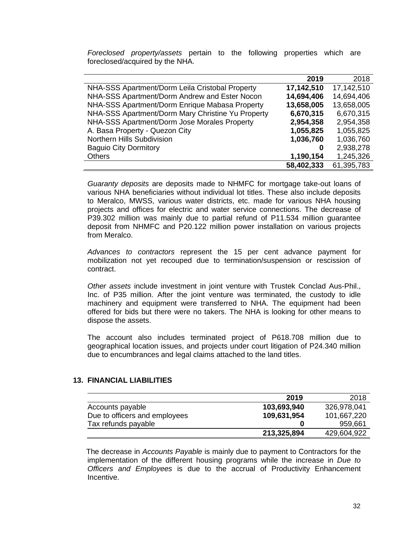*Foreclosed property/assets* pertain to the following properties which are foreclosed/acquired by the NHA.

|                                                   | 2019       | 2018       |
|---------------------------------------------------|------------|------------|
| NHA-SSS Apartment/Dorm Leila Cristobal Property   | 17,142,510 | 17,142,510 |
| NHA-SSS Apartment/Dorm Andrew and Ester Nocon     | 14,694,406 | 14,694,406 |
| NHA-SSS Apartment/Dorm Enrique Mabasa Property    | 13,658,005 | 13,658,005 |
| NHA-SSS Apartment/Dorm Mary Christine Yu Property | 6,670,315  | 6,670,315  |
| NHA-SSS Apartment/Dorm Jose Morales Property      | 2,954,358  | 2,954,358  |
| A. Basa Property - Quezon City                    | 1,055,825  | 1,055,825  |
| Northern Hills Subdivision                        | 1,036,760  | 1,036,760  |
| <b>Baguio City Dormitory</b>                      | 0          | 2,938,278  |
| <b>Others</b>                                     | 1,190,154  | 1,245,326  |
|                                                   | 58,402,333 | 61,395,783 |

*Guaranty deposits* are deposits made to NHMFC for mortgage take-out loans of various NHA beneficiaries without individual lot titles. These also include deposits to Meralco, MWSS, various water districts, etc. made for various NHA housing projects and offices for electric and water service connections. The decrease of P39.302 million was mainly due to partial refund of P11.534 million guarantee deposit from NHMFC and P20.122 million power installation on various projects from Meralco.

*Advances to contractors* represent the 15 per cent advance payment for mobilization not yet recouped due to termination/suspension or rescission of contract.

*Other assets* include investment in joint venture with Trustek Conclad Aus-Phil., Inc. of P35 million. After the joint venture was terminated, the custody to idle machinery and equipment were transferred to NHA. The equipment had been offered for bids but there were no takers. The NHA is looking for other means to dispose the assets.

The account also includes terminated project of P618.708 million due to geographical location issues, and projects under court litigation of P24.340 million due to encumbrances and legal claims attached to the land titles.

### **13. FINANCIAL LIABILITIES**

|                               | 2019        | 2018        |
|-------------------------------|-------------|-------------|
| Accounts payable              | 103,693,940 | 326,978,041 |
| Due to officers and employees | 109,631,954 | 101,667,220 |
| Tax refunds payable           |             | 959,661     |
|                               | 213,325,894 | 429,604,922 |

 The decrease in *Accounts Payable* is mainly due to payment to Contractors for the implementation of the different housing programs while the increase in *Due to Officers and Employees* is due to the accrual of Productivity Enhancement Incentive.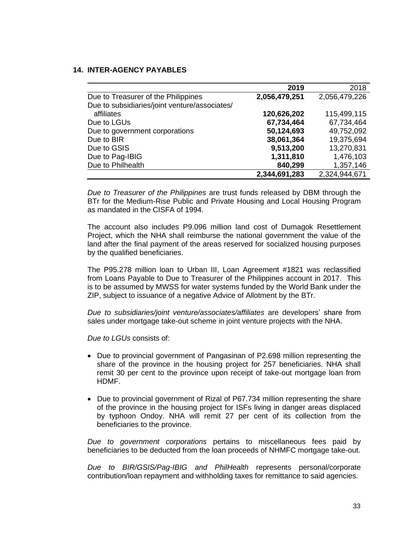## **14. INTER-AGENCY PAYABLES**

|                                               | 2019          | 2018          |
|-----------------------------------------------|---------------|---------------|
| Due to Treasurer of the Philippines           | 2,056,479,251 | 2,056,479,226 |
| Due to subsidiaries/joint venture/associates/ |               |               |
| affiliates                                    | 120,626,202   | 115,499,115   |
| Due to LGUs                                   | 67,734,464    | 67,734,464    |
| Due to government corporations                | 50,124,693    | 49,752,092    |
| Due to BIR                                    | 38,061,364    | 19,375,694    |
| Due to GSIS                                   | 9,513,200     | 13,270,831    |
| Due to Pag-IBIG                               | 1,311,810     | 1,476,103     |
| Due to Philhealth                             | 840,299       | 1,357,146     |
|                                               | 2,344,691,283 | 2,324,944,671 |

*Due to Treasurer of the Philippines* are trust funds released by DBM through the BTr for the Medium-Rise Public and Private Housing and Local Housing Program as mandated in the CISFA of 1994.

The account also includes P9.096 million land cost of Dumagok Resettlement Project, which the NHA shall reimburse the national government the value of the land after the final payment of the areas reserved for socialized housing purposes by the qualified beneficiaries.

The P95.278 million loan to Urban III, Loan Agreement #1821 was reclassified from Loans Payable to Due to Treasurer of the Philippines account in 2017. This is to be assumed by MWSS for water systems funded by the World Bank under the ZIP, subject to issuance of a negative Advice of Allotment by the BTr.

*Due to subsidiaries/joint venture/associates/affiliates* are developers' share from sales under mortgage take-out scheme in joint venture projects with the NHA.

*Due to LGUs* consists of:

- Due to provincial government of Pangasinan of P2.698 million representing the share of the province in the housing project for 257 beneficiaries. NHA shall remit 30 per cent to the province upon receipt of take-out mortgage loan from HDMF.
- Due to provincial government of Rizal of P67.734 million representing the share of the province in the housing project for ISFs living in danger areas displaced by typhoon Ondoy. NHA will remit 27 per cent of its collection from the beneficiaries to the province.

*Due to government corporations* pertains to miscellaneous fees paid by beneficiaries to be deducted from the loan proceeds of NHMFC mortgage take-out.

*Due to BIR/GSIS/Pag-IBIG and PhilHealth* represents personal/corporate contribution/loan repayment and withholding taxes for remittance to said agencies.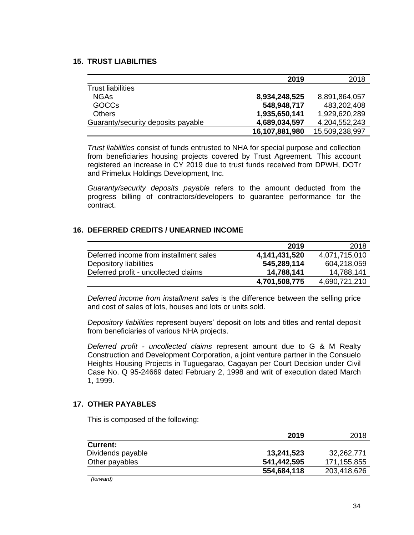## **15. TRUST LIABILITIES**

|                                    | 2019           | 2018           |
|------------------------------------|----------------|----------------|
| <b>Trust liabilities</b>           |                |                |
| <b>NGAs</b>                        | 8,934,248,525  | 8,891,864,057  |
| <b>GOCCs</b>                       | 548,948,717    | 483,202,408    |
| <b>Others</b>                      | 1,935,650,141  | 1,929,620,289  |
| Guaranty/security deposits payable | 4,689,034,597  | 4,204,552,243  |
|                                    | 16,107,881,980 | 15,509,238,997 |

*Trust liabilities* consist of funds entrusted to NHA for special purpose and collection from beneficiaries housing projects covered by Trust Agreement. This account registered an increase in CY 2019 due to trust funds received from DPWH, DOTr and Primelux Holdings Development, Inc.

*Guaranty/security deposits payable* refers to the amount deducted from the progress billing of contractors/developers to guarantee performance for the contract.

### **16. DEFERRED CREDITS / UNEARNED INCOME**

|                                        | 2019          | 2018          |
|----------------------------------------|---------------|---------------|
| Deferred income from installment sales | 4,141,431,520 | 4,071,715,010 |
| Depository liabilities                 | 545,289,114   | 604,218,059   |
| Deferred profit - uncollected claims   | 14,788,141    | 14,788,141    |
|                                        | 4,701,508,775 | 4,690,721,210 |

*Deferred income from installment sales* is the difference between the selling price and cost of sales of lots, houses and lots or units sold.

*Depository liabilities* represent buyers' deposit on lots and titles and rental deposit from beneficiaries of various NHA projects.

*Deferred profit - uncollected claims* represent amount due to G & M Realty Construction and Development Corporation, a joint venture partner in the Consuelo Heights Housing Projects in Tuguegarao, Cagayan per Court Decision under Civil Case No. Q 95-24669 dated February 2, 1998 and writ of execution dated March 1, 1999.

### **17. OTHER PAYABLES**

This is composed of the following:

|                        | 2019        | 2018        |
|------------------------|-------------|-------------|
| <b>Current:</b>        |             |             |
| Dividends payable      | 13,241,523  | 32,262,771  |
| Other payables         | 541,442,595 | 171,155,855 |
|                        | 554,684,118 | 203,418,626 |
| $\cdots$<br>$\epsilon$ |             |             |

*(forward)*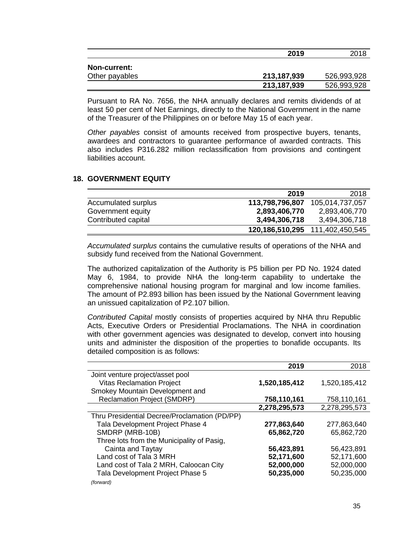|                                       | 2019        | 2018        |
|---------------------------------------|-------------|-------------|
| <b>Non-current:</b><br>Other payables | 213,187,939 | 526,993,928 |
|                                       | 213,187,939 | 526,993,928 |

Pursuant to RA No. 7656, the NHA annually declares and remits dividends of at least 50 per cent of Net Earnings, directly to the National Government in the name of the Treasurer of the Philippines on or before May 15 of each year.

*Other payables* consist of amounts received from prospective buyers, tenants, awardees and contractors to guarantee performance of awarded contracts. This also includes P316.282 million reclassification from provisions and contingent liabilities account.

#### **18. GOVERNMENT EQUITY**

|                     |                 | 120,186,510,295 111,402,450,545 |
|---------------------|-----------------|---------------------------------|
| Contributed capital | 3,494,306,718   | 3,494,306,718                   |
| Government equity   | 2,893,406,770   | 2,893,406,770                   |
| Accumulated surplus | 113,798,796,807 | 105,014,737,057                 |
|                     | 2019            | 2018                            |

*Accumulated surplus* contains the cumulative results of operations of the NHA and subsidy fund received from the National Government.

The authorized capitalization of the Authority is P5 billion per PD No. 1924 dated May 6, 1984, to provide NHA the long-term capability to undertake the comprehensive national housing program for marginal and low income families. The amount of P2.893 billion has been issued by the National Government leaving an unissued capitalization of P2.107 billion.

*Contributed Capital* mostly consists of properties acquired by NHA thru Republic Acts, Executive Orders or Presidential Proclamations. The NHA in coordination with other government agencies was designated to develop, convert into housing units and administer the disposition of the properties to bonafide occupants. Its detailed composition is as follows:

|                                               | 2019          | 2018          |
|-----------------------------------------------|---------------|---------------|
| Joint venture project/asset pool              |               |               |
| <b>Vitas Reclamation Project</b>              | 1,520,185,412 | 1,520,185,412 |
| Smokey Mountain Development and               |               |               |
| <b>Reclamation Project (SMDRP)</b>            | 758,110,161   | 758,110,161   |
|                                               | 2,278,295,573 | 2,278,295,573 |
| Thru Presidential Decree/Proclamation (PD/PP) |               |               |
| Tala Development Project Phase 4              | 277,863,640   | 277,863,640   |
| SMDRP (MRB-10B)                               | 65,862,720    | 65,862,720    |
| Three lots from the Municipality of Pasig,    |               |               |
| Cainta and Taytay                             | 56,423,891    | 56,423,891    |
| Land cost of Tala 3 MRH                       | 52,171,600    | 52,171,600    |
| Land cost of Tala 2 MRH, Caloocan City        | 52,000,000    | 52,000,000    |
| Tala Development Project Phase 5              | 50,235,000    | 50,235,000    |
| (forward)                                     |               |               |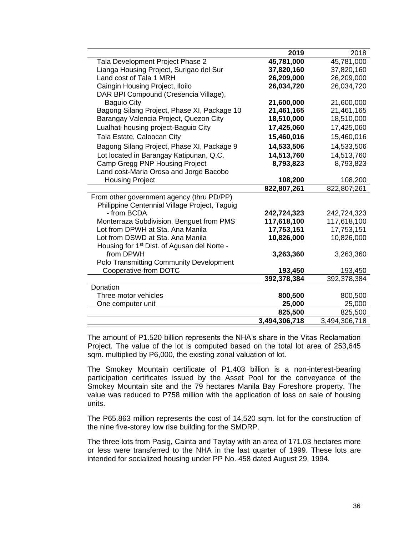|                                                         | 2019          | 2018          |
|---------------------------------------------------------|---------------|---------------|
| Tala Development Project Phase 2                        | 45,781,000    | 45,781,000    |
| Lianga Housing Project, Surigao del Sur                 | 37,820,160    | 37,820,160    |
| Land cost of Tala 1 MRH                                 | 26,209,000    | 26,209,000    |
| Caingin Housing Project, Iloilo                         | 26,034,720    | 26,034,720    |
| DAR BPI Compound (Cresencia Village),                   |               |               |
| <b>Baguio City</b>                                      | 21,600,000    | 21,600,000    |
| Bagong Silang Project, Phase XI, Package 10             | 21,461,165    | 21,461,165    |
| Barangay Valencia Project, Quezon City                  | 18,510,000    | 18,510,000    |
| Lualhati housing project-Baguio City                    | 17,425,060    | 17,425,060    |
| Tala Estate, Caloocan City                              | 15,460,016    | 15,460,016    |
| Bagong Silang Project, Phase XI, Package 9              | 14,533,506    | 14,533,506    |
| Lot located in Barangay Katipunan, Q.C.                 | 14,513,760    | 14,513,760    |
| Camp Gregg PNP Housing Project                          | 8,793,823     | 8,793,823     |
| Land cost-Maria Orosa and Jorge Bacobo                  |               |               |
| <b>Housing Project</b>                                  | 108,200       | 108,200       |
|                                                         | 822,807,261   | 822,807,261   |
| From other government agency (thru PD/PP)               |               |               |
| Philippine Centennial Village Project, Taguig           |               |               |
| - from BCDA                                             | 242,724,323   | 242,724,323   |
| Monterraza Subdivision, Benguet from PMS                | 117,618,100   | 117,618,100   |
| Lot from DPWH at Sta. Ana Manila                        | 17,753,151    | 17,753,151    |
| Lot from DSWD at Sta. Ana Manila                        | 10,826,000    | 10,826,000    |
| Housing for 1 <sup>st</sup> Dist. of Agusan del Norte - |               |               |
| from DPWH                                               | 3,263,360     | 3,263,360     |
| Polo Transmitting Community Development                 |               |               |
| Cooperative-from DOTC                                   | 193,450       | 193,450       |
|                                                         | 392,378,384   | 392,378,384   |
| Donation                                                |               |               |
| Three motor vehicles                                    | 800,500       | 800,500       |
| One computer unit                                       | 25,000        | 25,000        |
|                                                         | 825,500       | 825,500       |
|                                                         | 3,494,306,718 | 3,494,306,718 |

The amount of P1.520 billion represents the NHA's share in the Vitas Reclamation Project. The value of the lot is computed based on the total lot area of 253,645 sqm. multiplied by P6,000, the existing zonal valuation of lot.

The Smokey Mountain certificate of P1.403 billion is a non-interest-bearing participation certificates issued by the Asset Pool for the conveyance of the Smokey Mountain site and the 79 hectares Manila Bay Foreshore property. The value was reduced to P758 million with the application of loss on sale of housing units.

The P65.863 million represents the cost of 14,520 sqm. lot for the construction of the nine five-storey low rise building for the SMDRP.

The three lots from Pasig, Cainta and Taytay with an area of 171.03 hectares more or less were transferred to the NHA in the last quarter of 1999. These lots are intended for socialized housing under PP No. 458 dated August 29, 1994.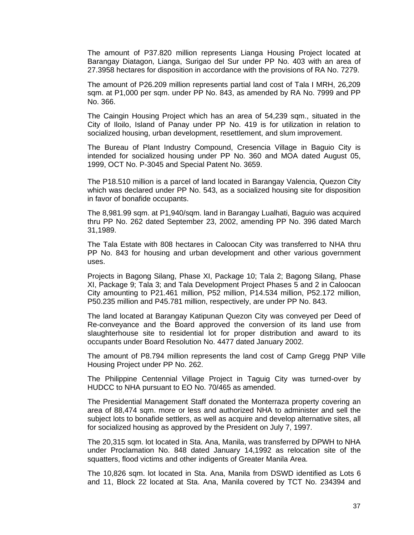The amount of P37.820 million represents Lianga Housing Project located at Barangay Diatagon, Lianga, Surigao del Sur under PP No. 403 with an area of 27.3958 hectares for disposition in accordance with the provisions of RA No. 7279.

The amount of P26.209 million represents partial land cost of Tala I MRH, 26,209 sqm. at P1,000 per sqm. under PP No. 843, as amended by RA No. 7999 and PP No. 366.

The Caingin Housing Project which has an area of 54,239 sqm., situated in the City of Iloilo, Island of Panay under PP No. 419 is for utilization in relation to socialized housing, urban development, resettlement, and slum improvement.

The Bureau of Plant Industry Compound, Cresencia Village in Baguio City is intended for socialized housing under PP No. 360 and MOA dated August 05, 1999, OCT No. P-3045 and Special Patent No. 3659.

The P18.510 million is a parcel of land located in Barangay Valencia, Quezon City which was declared under PP No. 543, as a socialized housing site for disposition in favor of bonafide occupants.

The 8,981.99 sqm. at P1,940/sqm. land in Barangay Lualhati, Baguio was acquired thru PP No. 262 dated September 23, 2002, amending PP No. 396 dated March 31,1989.

The Tala Estate with 808 hectares in Caloocan City was transferred to NHA thru PP No. 843 for housing and urban development and other various government uses.

Projects in Bagong Silang, Phase XI, Package 10; Tala 2; Bagong Silang, Phase XI, Package 9; Tala 3; and Tala Development Project Phases 5 and 2 in Caloocan City amounting to P21.461 million, P52 million, P14.534 million, P52.172 million, P50.235 million and P45.781 million, respectively, are under PP No. 843.

The land located at Barangay Katipunan Quezon City was conveyed per Deed of Re-conveyance and the Board approved the conversion of its land use from slaughterhouse site to residential lot for proper distribution and award to its occupants under Board Resolution No. 4477 dated January 2002.

The amount of P8.794 million represents the land cost of Camp Gregg PNP Ville Housing Project under PP No. 262.

The Philippine Centennial Village Project in Taguig City was turned-over by HUDCC to NHA pursuant to EO No. 70/465 as amended.

The Presidential Management Staff donated the Monterraza property covering an area of 88,474 sqm. more or less and authorized NHA to administer and sell the subject lots to bonafide settlers, as well as acquire and develop alternative sites, all for socialized housing as approved by the President on July 7, 1997.

The 20,315 sqm. lot located in Sta. Ana, Manila, was transferred by DPWH to NHA under Proclamation No. 848 dated January 14,1992 as relocation site of the squatters, flood victims and other indigents of Greater Manila Area.

The 10,826 sqm. lot located in Sta. Ana, Manila from DSWD identified as Lots 6 and 11, Block 22 located at Sta. Ana, Manila covered by TCT No. 234394 and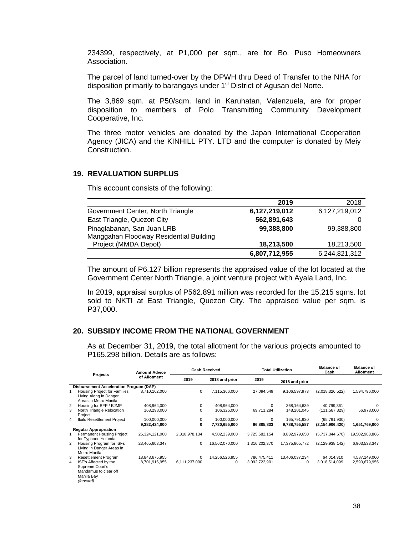234399, respectively, at P1,000 per sqm., are for Bo. Puso Homeowners Association.

The parcel of land turned-over by the DPWH thru Deed of Transfer to the NHA for disposition primarily to barangays under 1<sup>st</sup> District of Agusan del Norte.

The 3,869 sqm. at P50/sqm. land in Karuhatan, Valenzuela, are for proper disposition to members of Polo Transmitting Community Development Cooperative, Inc.

The three motor vehicles are donated by the Japan International Cooperation Agency (JICA) and the KINHILL PTY. LTD and the computer is donated by Meiy Construction.

#### **19. REVALUATION SURPLUS**

This account consists of the following:

|                                         | 2019          | 2018          |
|-----------------------------------------|---------------|---------------|
| Government Center, North Triangle       | 6,127,219,012 | 6,127,219,012 |
| East Triangle, Quezon City              | 562,891,643   |               |
| Pinaglabanan, San Juan LRB              | 99,388,800    | 99,388,800    |
| Manggahan Floodway Residential Building |               |               |
| Project (MMDA Depot)                    | 18,213,500    | 18,213,500    |
|                                         | 6,807,712,955 | 6,244,821,312 |

The amount of P6.127 billion represents the appraised value of the lot located at the Government Center North Triangle, a joint venture project with Ayala Land, Inc.

In 2019, appraisal surplus of P562.891 million was recorded for the 15,215 sqms. lot sold to NKTI at East Triangle, Quezon City. The appraised value per sqm. is P37,000.

## **20. SUBSIDY INCOME FROM THE NATIONAL GOVERNMENT**

As at December 31, 2019, the total allotment for the various projects amounted to P165.298 billion. Details are as follows:

|   | <b>Projects</b>                                 | <b>Amount Advice</b> |               | <b>Cash Received</b> |               | <b>Total Utilization</b> | <b>Balance of</b><br>Cash | <b>Balance of</b><br><b>Allotment</b> |
|---|-------------------------------------------------|----------------------|---------------|----------------------|---------------|--------------------------|---------------------------|---------------------------------------|
|   |                                                 | of Allotment         | 2019          | 2018 and prior       | 2019          | 2018 and prior           |                           |                                       |
|   | Disbursement Acceleration Program (DAP)         |                      |               |                      |               |                          |                           |                                       |
|   | Housing Project for Families                    | 8,710,162,000        | 0             | 7,115,366,000        | 27,094,549    | 9,106,597,973            | (2,018,326,522)           | 1,594,796,000                         |
|   | Living Along in Danger<br>Areas in Metro Manila |                      |               |                      |               |                          |                           |                                       |
| 2 | Housing for BFP / BJMP                          | 408,964,000          | 0             | 408,964,000          | 0             | 368, 164, 639            | 40,799,361                | $\Omega$                              |
| 3 | North Triangle Relocation                       | 163,298,000          | $\Omega$      | 106,325,000          | 69,711,284    | 148,201,045              | (111, 587, 329)           | 56,973,000                            |
|   | Project                                         |                      |               |                      |               |                          |                           |                                       |
| 4 | Iloilo Resettlement Project                     | 100.000.000          | 0             | 100,000,000          | 0             | 165.791.930              | (65, 791, 930)            | 0                                     |
|   |                                                 | 9,382,424,000        | 0             | 7,730,655,000        | 96,805,833    | 9,788,755,587            | (2, 154, 906, 420)        | 1,651,769,000                         |
|   | <b>Regular Appropriation</b>                    |                      |               |                      |               |                          |                           |                                       |
|   | Permanent Housing Project                       | 26,324,121,000       | 2,318,978,134 | 4,502,239,000        | 3,725,582,154 | 8,832,979,650            | (5,737,344,670)           | 19,502,903,866                        |
|   | for Typhoon Yolanda                             |                      |               |                      |               |                          |                           |                                       |
| 2 | Housing Program for ISFs                        | 23,465,603,347       | 0             | 16,562,070,000       | 1,316,202,370 | 17,375,805,772           | (2, 129, 938, 142)        | 6,903,533,347                         |
|   | Living in Danger Areas in                       |                      |               |                      |               |                          |                           |                                       |
|   | Metro Manila                                    |                      |               |                      |               |                          |                           |                                       |
| 3 | <b>Resettlement Program</b>                     | 18,843,675,955       | 0             | 14,256,526,955       | 786,475,411   | 13,406,037,234           | 64,014,310                | 4,587,149,000                         |
| 4 | ISF's Affected by the                           | 8,701,916,955        | 6,111,237,000 | 0                    | 3,092,722,901 | 0                        | 3,018,514,099             | 2,590,679,955                         |
|   | Supreme Court's                                 |                      |               |                      |               |                          |                           |                                       |
|   | Mandamus to clear off                           |                      |               |                      |               |                          |                           |                                       |
|   | Manila Bay                                      |                      |               |                      |               |                          |                           |                                       |
|   | (forward)                                       |                      |               |                      |               |                          |                           |                                       |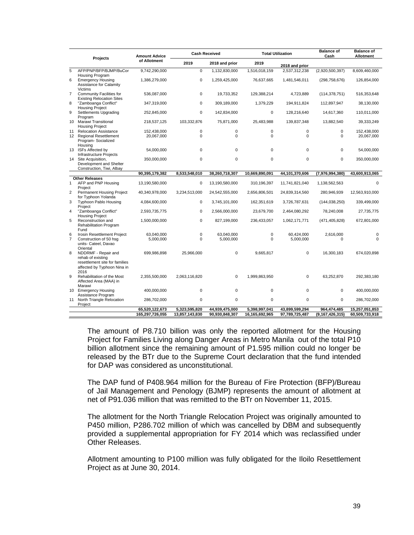|                     | <b>Projects</b>                                                                                           | <b>Amount Advice</b>              |                                 | <b>Cash Received</b>             | <b>Total Utilization</b>        |                                  | <b>Balance of</b><br>Cash      | <b>Balance of</b><br><b>Allotment</b> |
|---------------------|-----------------------------------------------------------------------------------------------------------|-----------------------------------|---------------------------------|----------------------------------|---------------------------------|----------------------------------|--------------------------------|---------------------------------------|
|                     |                                                                                                           | of Allotment                      | 2019                            | 2018 and prior                   | 2019                            | 2018 and prior                   |                                |                                       |
| $\overline{5}$      | AFP/PNP/BFP/BJMP/BuCor<br>Housing Program                                                                 | 9,742,290,000                     | $\mathbf 0$                     | 1,132,830,000                    | 1,516,018,159                   | 2,537,312,238                    | (2,920,500,397)                | 8,609,460,000                         |
| 6                   | <b>Emergency Housing</b><br>Assistance for Calamity                                                       | 1,386,279,000                     | $\mathbf 0$                     | 1,259,425,000                    | 76,637,665                      | 1,481,546,011                    | (298, 758, 676)                | 126,854,000                           |
| $\overline{7}$      | <b>Victims</b><br>Community Facilities for                                                                | 536,087,000                       | $\mathbf 0$                     | 19,733,352                       | 129,388,214                     | 4,723,889                        | (114, 378, 751)                | 516,353,648                           |
|                     | <b>Existing Relocation Sites</b>                                                                          |                                   |                                 |                                  |                                 |                                  |                                |                                       |
| 8                   | "Zamboanga Conflict"<br><b>Housing Project</b>                                                            | 347,319,000                       | $\mathbf 0$                     | 309,189,000                      | 1,379,229                       | 194,911,824                      | 112,897,947                    | 38,130,000                            |
| 9                   | Settlements Upgrading<br>Program                                                                          | 252,845,000                       | $\mathbf 0$                     | 142,834,000                      | $\mathbf 0$                     | 128,216,640                      | 14,617,360                     | 110,011,000                           |
|                     | 10 Marawi Transitional<br><b>Housing Project</b>                                                          | 218,537,125                       | 103,332,876                     | 75,871,000                       | 25,483,988                      | 139,837,348                      | 13,882,540                     | 39,333,249                            |
| 11                  | <b>Relocation Assistance</b><br>12 Regional Resettlement<br>Program-Socialized                            | 152,438,000<br>20,067,000         | $\pmb{0}$<br>$\Omega$           | $\pmb{0}$<br>$\Omega$            | $\pmb{0}$<br>$\Omega$           | 0<br>$\Omega$                    | 0<br>$\Omega$                  | 152,438,000<br>20,067,000             |
|                     | Housing<br>13 ISFs Affected by<br>Infrastructure Projects                                                 | 54,000,000                        | $\Omega$                        | $\mathbf 0$                      | $\mathbf 0$                     | $\Omega$                         | 0                              | 54,000,000                            |
| 14                  | Site Acquisition,                                                                                         | 350.000.000                       | $\mathbf 0$                     | $\mathbf 0$                      | $\mathbf 0$                     | 0                                | 0                              | 350,000,000                           |
|                     | Development and Shelter<br>Construction, Tiwi, Albay                                                      |                                   |                                 |                                  |                                 |                                  |                                |                                       |
|                     |                                                                                                           | 90,395,179,382                    | 8,533,548,010                   | 38,260,718,307                   | 10,669,890,091                  | 44,101,370,606                   | (7,976,994,380)                | 43,600,913,065                        |
| 1                   | <b>Other Releases</b><br>AFP and PNP Housing                                                              | 13,190,580,000                    | $\mathbf 0$                     | 13,190,580,000                   | 310,196,397                     | 11,741,821,040                   | 1,138,562,563                  | $\Omega$                              |
| $\overline{2}$      | Project<br>Permanent Housing Project<br>for Typhoon Yolanda                                               | 40,340,978,000                    | 3,234,513,000                   | 24,542,555,000                   | 2,656,806,501                   | 24,839,314,560                   | 280,946,939                    | 12,563,910,000                        |
| 3                   | Typhoon Pablo Housing                                                                                     | 4,084,600,000                     | $\mathbf 0$                     | 3,745,101,000                    | 162,351,619                     | 3,726,787,631                    | (144, 038, 250)                | 339,499,000                           |
| $\overline{4}$      | Project<br>"Zamboanga Conflict"<br><b>Housing Project</b>                                                 | 2,593,735,775                     | $\Omega$                        | 2,566,000,000                    | 23,679,700                      | 2,464,080,292                    | 78,240,008                     | 27,735,775                            |
| 5                   | Reconstruction and<br>Rehabilitation Program<br>Fund                                                      | 1,500,000,000                     | $\mathbf 0$                     | 827,199,000                      | 236,433,057                     | 1,062,171,771                    | (471, 405, 828)                | 672,801,000                           |
| 6<br>$\overline{7}$ | Irosin Resettlement Project<br>Construction of 50 hsq<br>units- Cateel, Davao<br>Oriental                 | 63,040,000<br>5,000,000           | $\pmb{0}$<br>$\Omega$           | 63,040,000<br>5,000,000          | 0<br>$\Omega$                   | 60,424,000<br>5,000,000          | 2,616,000<br>$\Omega$          | 0<br>$\Omega$                         |
| 8                   | NDDRMF - Repair and<br>rehab of existing<br>resettlement site for families<br>affected by Typhoon Nina in | 699,986,898                       | 25,966,000                      | $\mathbf 0$                      | 9,665,817                       | $\Omega$                         | 16,300,183                     | 674,020,898                           |
| 9                   | 2016<br>Rehabilitation of the Most<br>Affected Area (MAA) in                                              | 2,355,500,000                     | 2,063,116,820                   | $\Omega$                         | 1,999,863,950                   | $\Omega$                         | 63,252,870                     | 292,383,180                           |
|                     | Marawi<br>10 Emergency Housing                                                                            | 400,000,000                       | $\Omega$                        | $\mathbf 0$                      | $\mathbf 0$                     | $\Omega$                         | 0                              | 400,000,000                           |
| 11                  | Assistance Program<br>North Triangle Relocation<br>Project                                                | 286,702,000                       | $\mathbf 0$                     | $\mathbf 0$                      | $\mathbf 0$                     | 0                                | 0                              | 286,702,000                           |
|                     |                                                                                                           | 65,520,122,673<br>165,297,726,055 | 5,323,595,820<br>13,857,143,830 | 44,939,475,000<br>90,930,848,307 | 5,398,997,041<br>16,165,692,965 | 43,899,599,294<br>97,789,725,487 | 964,474,485<br>(9,167,426,315) | 15,257,051,853<br>60,509,733,918      |

The amount of P8.710 billion was only the reported allotment for the Housing Project for Families Living along Danger Areas in Metro Manila out of the total P10 billion allotment since the remaining amount of P1.595 million could no longer be released by the BTr due to the Supreme Court declaration that the fund intended for DAP was considered as unconstitutional.

The DAP fund of P408.964 million for the Bureau of Fire Protection (BFP)/Bureau of Jail Management and Penology (BJMP) represents the amount of allotment at net of P91.036 million that was remitted to the BTr on November 11, 2015.

The allotment for the North Triangle Relocation Project was originally amounted to P450 million, P286.702 million of which was cancelled by DBM and subsequently provided a supplemental appropriation for FY 2014 which was reclassified under Other Releases.

Allotment amounting to P100 million was fully obligated for the Iloilo Resettlement Project as at June 30, 2014.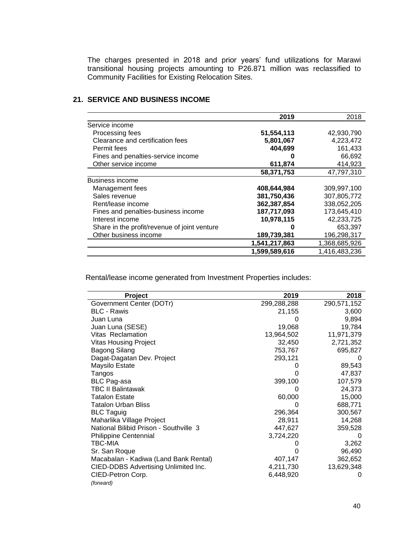The charges presented in 2018 and prior years' fund utilizations for Marawi transitional housing projects amounting to P26.871 million was reclassified to Community Facilities for Existing Relocation Sites.

|                                              | 2019          | 2018          |
|----------------------------------------------|---------------|---------------|
| Service income                               |               |               |
| Processing fees                              | 51,554,113    | 42,930,790    |
| Clearance and certification fees             | 5,801,067     | 4,223,472     |
| Permit fees                                  | 404,699       | 161,433       |
| Fines and penalties-service income           |               | 66,692        |
| Other service income                         | 611,874       | 414,923       |
|                                              | 58,371,753    | 47,797,310    |
| <b>Business income</b>                       |               |               |
| Management fees                              | 408,644,984   | 309,997,100   |
| Sales revenue                                | 381,750,436   | 307,805,772   |
| Rent/lease income                            | 362,387,854   | 338,052,205   |
| Fines and penalties-business income          | 187,717,093   | 173,645,410   |
| Interest income                              | 10,978,115    | 42,233,725    |
| Share in the profit/revenue of joint venture |               | 653,397       |
| Other business income                        | 189,739,381   | 196,298,317   |
|                                              | 1,541,217,863 | 1,368,685,926 |
|                                              | 1,599,589,616 | 1,416,483,236 |

# **21. SERVICE AND BUSINESS INCOME**

Rental/lease income generated from Investment Properties includes:

| <b>Project</b>                         | 2019        | 2018        |
|----------------------------------------|-------------|-------------|
| Government Center (DOTr)               | 299,288,288 | 290,571,152 |
| <b>BLC - Rawis</b>                     | 21,155      | 3,600       |
| Juan Luna                              |             | 9,894       |
| Juan Luna (SESE)                       | 19,068      | 19,784      |
| Vitas Reclamation                      | 13,964,502  | 11,971,379  |
| <b>Vitas Housing Project</b>           | 32,450      | 2,721,352   |
| <b>Bagong Silang</b>                   | 753,767     | 695,827     |
| Dagat-Dagatan Dev. Project             | 293,121     |             |
| Maysilo Estate                         |             | 89,543      |
| Tangos                                 |             | 47,837      |
| <b>BLC Pag-asa</b>                     | 399,100     | 107,579     |
| <b>TBC II Balintawak</b>               | 0           | 24,373      |
| <b>Tatalon Estate</b>                  | 60,000      | 15,000      |
| <b>Tatalon Urban Bliss</b>             | 0           | 688,771     |
| <b>BLC Taguig</b>                      | 296,364     | 300,567     |
| Maharlika Village Project              | 28,911      | 14,268      |
| National Bilibid Prison - Southville 3 | 447,627     | 359,528     |
| <b>Philippine Centennial</b>           | 3,724,220   | O           |
| TBC-MIA                                |             | 3,262       |
| Sr. San Roque                          | 0           | 96,490      |
| Macabalan - Kadiwa (Land Bank Rental)  | 407,147     | 362,652     |
| CIED-DDBS Advertising Unlimited Inc.   | 4,211,730   | 13,629,348  |
| CIED-Petron Corp.                      | 6,448,920   | 0           |
| (forward)                              |             |             |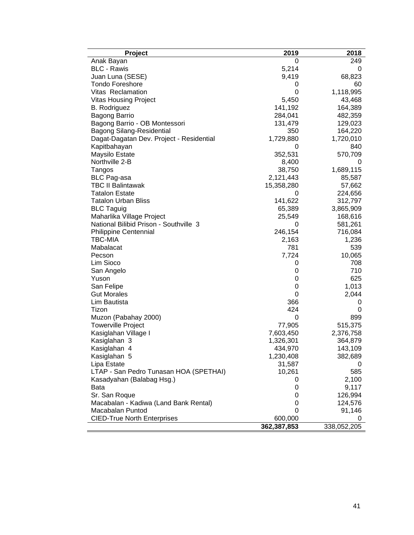| <b>Project</b>                           | 2019        | 2018        |
|------------------------------------------|-------------|-------------|
| Anak Bayan                               | 0           | 249         |
| <b>BLC</b> - Rawis                       | 5,214       | 0           |
| Juan Luna (SESE)                         | 9,419       | 68,823      |
| Tondo Foreshore                          | 0           | 60          |
| Vitas Reclamation                        | 0           | 1,118,995   |
| <b>Vitas Housing Project</b>             | 5,450       | 43,468      |
| <b>B.</b> Rodriguez                      | 141,192     | 164,389     |
| <b>Bagong Barrio</b>                     | 284,041     | 482,359     |
| Bagong Barrio - OB Montessori            | 131,479     | 129,023     |
| <b>Bagong Silang-Residential</b>         | 350         | 164,220     |
| Dagat-Dagatan Dev. Project - Residential | 1,729,880   | 1,720,010   |
| Kapitbahayan                             | 0           | 840         |
| Maysilo Estate                           | 352,531     | 570,709     |
| Northville 2-B                           | 8,400       | 0           |
| Tangos                                   | 38,750      | 1,689,115   |
| <b>BLC Pag-asa</b>                       | 2,121,443   | 85,587      |
| <b>TBC II Balintawak</b>                 | 15,358,280  | 57,662      |
| <b>Tatalon Estate</b>                    | 0           | 224,656     |
| <b>Tatalon Urban Bliss</b>               | 141,622     | 312,797     |
| <b>BLC Taguig</b>                        | 65,389      | 3,865,909   |
| Maharlika Village Project                | 25,549      | 168,616     |
| National Bilibid Prison - Southville 3   | 0           | 581,261     |
| <b>Philippine Centennial</b>             | 246,154     | 716,084     |
| TBC-MIA                                  | 2,163       | 1,236       |
| Mabalacat                                | 781         | 539         |
| Pecson                                   | 7,724       | 10,065      |
| Lim Sioco                                | 0           | 708         |
| San Angelo                               | 0           | 710         |
| Yuson                                    | 0           | 625         |
| San Felipe                               | 0           | 1,013       |
| <b>Gut Morales</b>                       | 0           | 2,044       |
| Lim Bautista                             | 366         | 0           |
| Tizon                                    | 424         | 0           |
| Muzon (Pabahay 2000)                     | 0           | 899         |
| <b>Towerville Project</b>                | 77,905      | 515,375     |
| Kasiglahan Village I                     | 7,603,450   | 2,376,758   |
| Kasiglahan 3                             | 1,326,301   | 364,879     |
| Kasiglahan 4                             | 434,970     | 143,109     |
| Kasiglahan 5                             | 1,230,408   | 382,689     |
| Lipa Estate                              | 31,587      | 0           |
| LTAP - San Pedro Tunasan HOA (SPETHAI)   | 10,261      | 585         |
| Kasadyahan (Balabag Hsg.)                | 0           | 2,100       |
| Bata                                     | 0           | 9,117       |
| Sr. San Roque                            | 0           | 126,994     |
| Macabalan - Kadiwa (Land Bank Rental)    | 0           | 124,576     |
| Macabalan Puntod                         | 0           | 91,146      |
| <b>CIED-True North Enterprises</b>       | 600,000     | 0           |
|                                          | 362,387,853 | 338,052,205 |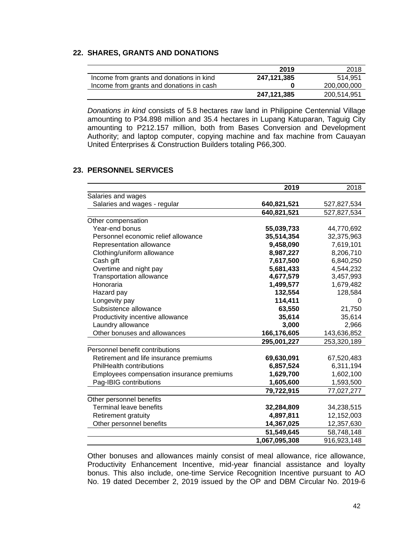### **22. SHARES, GRANTS AND DONATIONS**

|                                          | 2019        | 2018        |
|------------------------------------------|-------------|-------------|
| Income from grants and donations in kind | 247,121,385 | 514.951     |
| Income from grants and donations in cash |             | 200,000,000 |
|                                          | 247,121,385 | 200,514,951 |

*Donations in kind* consists of 5.8 hectares raw land in Philippine Centennial Village amounting to P34.898 million and 35.4 hectares in Lupang Katuparan, Taguig City amounting to P212.157 million, both from Bases Conversion and Development Authority; and laptop computer, copying machine and fax machine from Cauayan United Enterprises & Construction Builders totaling P66,300.

#### **23. PERSONNEL SERVICES**

|                                           | 2019          | 2018        |
|-------------------------------------------|---------------|-------------|
| Salaries and wages                        |               |             |
| Salaries and wages - regular              | 640,821,521   | 527,827,534 |
|                                           | 640,821,521   | 527,827,534 |
| Other compensation                        |               |             |
| Year-end bonus                            | 55,039,733    | 44,770,692  |
| Personnel economic relief allowance       | 35,514,354    | 32,375,963  |
| Representation allowance                  | 9,458,090     | 7,619,101   |
| Clothing/uniform allowance                | 8,987,227     | 8,206,710   |
| Cash gift                                 | 7,617,500     | 6,840,250   |
| Overtime and night pay                    | 5,681,433     | 4,544,232   |
| <b>Transportation allowance</b>           | 4,677,579     | 3,457,993   |
| Honoraria                                 | 1,499,577     | 1,679,482   |
| Hazard pay                                | 132,554       | 128,584     |
| Longevity pay                             | 114,411       | 0           |
| Subsistence allowance                     | 63,550        | 21,750      |
| Productivity incentive allowance          | 35,614        | 35,614      |
| Laundry allowance                         | 3,000         | 2,966       |
| Other bonuses and allowances              | 166,176,605   | 143,636,852 |
|                                           | 295,001,227   | 253,320,189 |
| Personnel benefit contributions           |               |             |
| Retirement and life insurance premiums    | 69,630,091    | 67,520,483  |
| PhilHealth contributions                  | 6,857,524     | 6,311,194   |
| Employees compensation insurance premiums | 1,629,700     | 1,602,100   |
| Pag-IBIG contributions                    | 1,605,600     | 1,593,500   |
|                                           | 79,722,915    | 77,027,277  |
| Other personnel benefits                  |               |             |
| <b>Terminal leave benefits</b>            | 32,284,809    | 34,238,515  |
| Retirement gratuity                       | 4,897,811     | 12,152,003  |
| Other personnel benefits                  | 14,367,025    | 12,357,630  |
|                                           | 51,549,645    | 58,748,148  |
|                                           | 1,067,095,308 | 916,923,148 |

Other bonuses and allowances mainly consist of meal allowance, rice allowance, Productivity Enhancement Incentive, mid-year financial assistance and loyalty bonus. This also include, one-time Service Recognition Incentive pursuant to AO No. 19 dated December 2, 2019 issued by the OP and DBM Circular No. 2019-6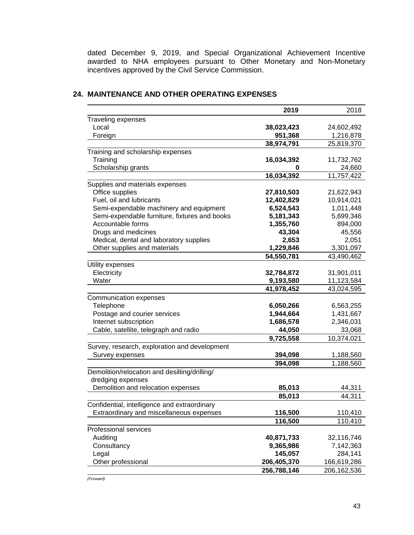dated December 9, 2019, and Special Organizational Achievement Incentive awarded to NHA employees pursuant to Other Monetary and Non-Monetary incentives approved by the Civil Service Commission.

|                                                                    | 2019        | 2018          |
|--------------------------------------------------------------------|-------------|---------------|
| Traveling expenses                                                 |             |               |
| Local                                                              | 38,023,423  | 24,602,492    |
| Foreign                                                            | 951,368     | 1,216,878     |
|                                                                    | 38,974,791  | 25,819,370    |
| Training and scholarship expenses                                  |             |               |
| Training                                                           | 16,034,392  | 11,732,762    |
| Scholarship grants                                                 | 0           | 24,660        |
|                                                                    | 16,034,392  | 11,757,422    |
| Supplies and materials expenses                                    |             |               |
| Office supplies                                                    | 27,810,503  | 21,622,943    |
| Fuel, oil and lubricants                                           | 12,402,829  | 10,914,021    |
| Semi-expendable machinery and equipment                            | 6,524,543   | 1,011,448     |
| Semi-expendable furniture, fixtures and books                      | 5,181,343   | 5,699,346     |
| Accountable forms                                                  | 1,355,760   | 894,000       |
| Drugs and medicines                                                | 43,304      | 45,556        |
| Medical, dental and laboratory supplies                            | 2,653       | 2,051         |
| Other supplies and materials                                       | 1,229,846   | 3,301,097     |
|                                                                    | 54,550,781  | 43,490,462    |
| Utility expenses                                                   |             |               |
| Electricity                                                        | 32,784,872  | 31,901,011    |
| Water                                                              | 9,193,580   | 11,123,584    |
|                                                                    | 41,978,452  | 43,024,595    |
| Communication expenses                                             |             |               |
| Telephone                                                          | 6,050,266   | 6,563,255     |
| Postage and courier services                                       | 1,944,664   | 1,431,667     |
| Internet subscription                                              | 1,686,578   | 2,346,031     |
| Cable, satellite, telegraph and radio                              | 44,050      | 33,068        |
|                                                                    | 9,725,558   | 10,374,021    |
| Survey, research, exploration and development                      |             |               |
| Survey expenses                                                    | 394,098     | 1,188,560     |
|                                                                    | 394,098     | 1,188,560     |
| Demolition/relocation and desilting/drilling/<br>dredging expenses |             |               |
| Demolition and relocation expenses                                 | 85,013      | 44,311        |
|                                                                    | 85,013      | 44,311        |
| Confidential, intelligence and extraordinary                       |             |               |
| Extraordinary and miscellaneous expenses                           | 116,500     | 110,410       |
|                                                                    | 116,500     | 110,410       |
| Professional services                                              |             |               |
| Auditing                                                           | 40,871,733  | 32,116,746    |
| Consultancy                                                        | 9,365,986   | 7,142,363     |
| Legal                                                              | 145,057     | 284,141       |
| Other professional                                                 | 206,405,370 | 166,619,286   |
|                                                                    | 256,788,146 | 206, 162, 536 |

# **24. MAINTENANCE AND OTHER OPERATING EXPENSES**

*(Forward)*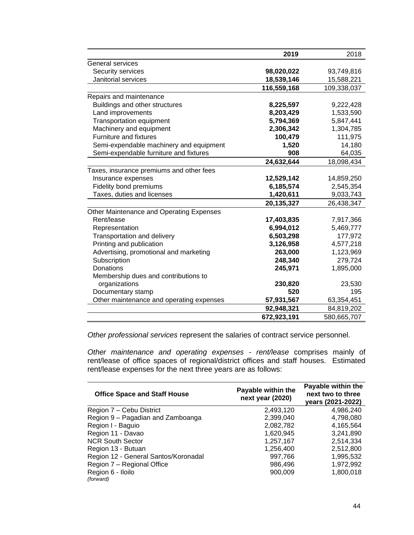|                                          | 2019        | 2018        |
|------------------------------------------|-------------|-------------|
| <b>General services</b>                  |             |             |
| Security services                        | 98,020,022  | 93,749,816  |
| Janitorial services                      | 18,539,146  | 15,588,221  |
|                                          | 116,559,168 | 109,338,037 |
| Repairs and maintenance                  |             |             |
| Buildings and other structures           | 8,225,597   | 9,222,428   |
| Land improvements                        | 8,203,429   | 1,533,590   |
| <b>Transportation equipment</b>          | 5,794,369   | 5,847,441   |
| Machinery and equipment                  | 2,306,342   | 1,304,785   |
| <b>Furniture and fixtures</b>            | 100,479     | 111,975     |
| Semi-expendable machinery and equipment  | 1,520       | 14,180      |
| Semi-expendable furniture and fixtures   | 908         | 64,035      |
|                                          | 24,632,644  | 18,098,434  |
| Taxes, insurance premiums and other fees |             |             |
| Insurance expenses                       | 12,529,142  | 14,859,250  |
| Fidelity bond premiums                   | 6,185,574   | 2,545,354   |
| Taxes, duties and licenses               | 1,420,611   | 9,033,743   |
|                                          | 20,135,327  | 26,438,347  |
| Other Maintenance and Operating Expenses |             |             |
| Rent/lease                               | 17,403,835  | 7,917,366   |
| Representation                           | 6,994,012   | 5,469,777   |
| Transportation and delivery              | 6,503,298   | 177,972     |
| Printing and publication                 | 3,126,958   | 4,577,218   |
| Advertising, promotional and marketing   | 263,000     | 1,123,969   |
| Subscription                             | 248,340     | 279,724     |
| Donations                                | 245,971     | 1,895,000   |
| Membership dues and contributions to     |             |             |
| organizations                            | 230,820     | 23,530      |
| Documentary stamp                        | 520         | 195         |
| Other maintenance and operating expenses | 57,931,567  | 63,354,451  |
|                                          | 92,948,321  | 84,819,202  |
|                                          | 672,923,191 | 580,665,707 |

*Other professional services* represent the salaries of contract service personnel.

*Other maintenance and operating expenses - rent/lease* comprises mainly of rent/lease of office spaces of regional/district offices and staff houses. Estimated rent/lease expenses for the next three years are as follows:

| <b>Office Space and Staff House</b>  | Payable within the<br>next year (2020) | Payable within the<br>next two to three<br>years (2021-2022) |
|--------------------------------------|----------------------------------------|--------------------------------------------------------------|
| Region 7 - Cebu District             | 2,493,120                              | 4,986,240                                                    |
| Region 9 - Pagadian and Zamboanga    | 2,399,040                              | 4,798,080                                                    |
| Region I - Baguio                    | 2,082,782                              | 4,165,564                                                    |
| Region 11 - Davao                    | 1,620,945                              | 3,241,890                                                    |
| <b>NCR South Sector</b>              | 1,257,167                              | 2,514,334                                                    |
| Region 13 - Butuan                   | 1,256,400                              | 2,512,800                                                    |
| Region 12 - General Santos/Koronadal | 997,766                                | 1,995,532                                                    |
| Region 7 - Regional Office           | 986,496                                | 1,972,992                                                    |
| Region 6 - Iloilo<br>(forward)       | 900.009                                | 1,800,018                                                    |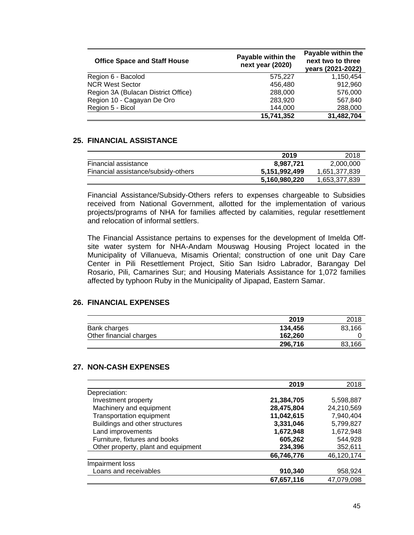| <b>Office Space and Staff House</b> | Payable within the<br>next year (2020) | Payable within the<br>next two to three<br>years (2021-2022) |
|-------------------------------------|----------------------------------------|--------------------------------------------------------------|
| Region 6 - Bacolod                  | 575.227                                | 1.150.454                                                    |
| <b>NCR West Sector</b>              | 456,480                                | 912,960                                                      |
| Region 3A (Bulacan District Office) | 288,000                                | 576,000                                                      |
| Region 10 - Cagayan De Oro          | 283,920                                | 567.840                                                      |
| Region 5 - Bicol                    | 144,000                                | 288,000                                                      |
|                                     | 15,741,352                             | 31,482,704                                                   |

## **25. FINANCIAL ASSISTANCE**

|                                     | 2019          | 2018          |
|-------------------------------------|---------------|---------------|
| Financial assistance                | 8.987.721     | 2,000,000     |
| Financial assistance/subsidy-others | 5,151,992,499 | 1,651,377,839 |
|                                     | 5,160,980,220 | 1,653,377,839 |

Financial Assistance/Subsidy-Others refers to expenses chargeable to Subsidies received from National Government, allotted for the implementation of various projects/programs of NHA for families affected by calamities, regular resettlement and relocation of informal settlers.

The Financial Assistance pertains to expenses for the development of Imelda Offsite water system for NHA-Andam Mouswag Housing Project located in the Municipality of Villanueva, Misamis Oriental; construction of one unit Day Care Center in Pili Resettlement Project, Sitio San Isidro Labrador, Barangay Del Rosario, Pili, Camarines Sur; and Housing Materials Assistance for 1,072 families affected by typhoon Ruby in the Municipality of Jipapad, Eastern Samar.

# **26. FINANCIAL EXPENSES**

|                         | 2019    | 2018   |
|-------------------------|---------|--------|
| Bank charges            | 134.456 | 83.166 |
| Other financial charges | 162.260 |        |
|                         | 296,716 | 83,166 |

# **27. NON-CASH EXPENSES**

|                                     | 2019       | 2018       |
|-------------------------------------|------------|------------|
| Depreciation:                       |            |            |
| Investment property                 | 21,384,705 | 5,598,887  |
| Machinery and equipment             | 28,475,804 | 24,210,569 |
| Transportation equipment            | 11,042,615 | 7,940,404  |
| Buildings and other structures      | 3,331,046  | 5,799,827  |
| Land improvements                   | 1,672,948  | 1,672,948  |
| Furniture, fixtures and books       | 605,262    | 544,928    |
| Other property, plant and equipment | 234,396    | 352,611    |
|                                     | 66,746,776 | 46,120,174 |
| Impairment loss                     |            |            |
| Loans and receivables               | 910,340    | 958,924    |
|                                     | 67,657,116 | 47,079,098 |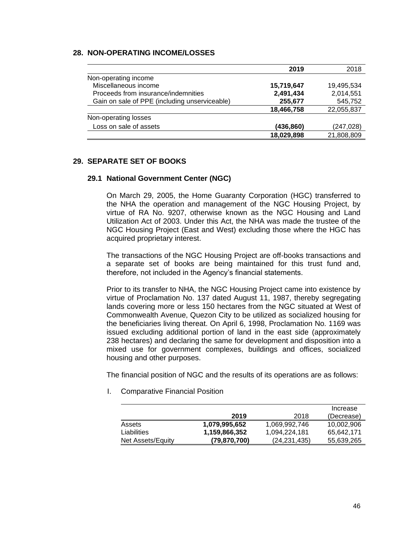# **28. NON-OPERATING INCOME/LOSSES**

|                                               | 2019       | 2018       |
|-----------------------------------------------|------------|------------|
| Non-operating income                          |            |            |
| Miscellaneous income                          | 15,719,647 | 19.495.534 |
| Proceeds from insurance/indemnities           | 2,491,434  | 2,014,551  |
| Gain on sale of PPE (including unserviceable) | 255,677    | 545,752    |
|                                               | 18,466,758 | 22,055,837 |
| Non-operating losses                          |            |            |
| Loss on sale of assets                        | (436,860)  | (247,028)  |
|                                               | 18,029,898 | 21,808,809 |

### **29. SEPARATE SET OF BOOKS**

### **29.1 National Government Center (NGC)**

On March 29, 2005, the Home Guaranty Corporation (HGC) transferred to the NHA the operation and management of the NGC Housing Project, by virtue of RA No. 9207, otherwise known as the NGC Housing and Land Utilization Act of 2003. Under this Act, the NHA was made the trustee of the NGC Housing Project (East and West) excluding those where the HGC has acquired proprietary interest.

The transactions of the NGC Housing Project are off-books transactions and a separate set of books are being maintained for this trust fund and, therefore, not included in the Agency's financial statements.

Prior to its transfer to NHA, the NGC Housing Project came into existence by virtue of Proclamation No. 137 dated August 11, 1987, thereby segregating lands covering more or less 150 hectares from the NGC situated at West of Commonwealth Avenue, Quezon City to be utilized as socialized housing for the beneficiaries living thereat. On April 6, 1998, Proclamation No. 1169 was issued excluding additional portion of land in the east side (approximately 238 hectares) and declaring the same for development and disposition into a mixed use for government complexes, buildings and offices, socialized housing and other purposes.

The financial position of NGC and the results of its operations are as follows:

I. Comparative Financial Position

|                   |                |                | Increase   |
|-------------------|----------------|----------------|------------|
|                   | 2019           | 2018           | (Decrease) |
| Assets            | 1,079,995,652  | 1.069.992.746  | 10.002.906 |
| Liabilities       | 1,159,866,352  | 1,094,224,181  | 65.642.171 |
| Net Assets/Equity | (79, 870, 700) | (24, 231, 435) | 55,639,265 |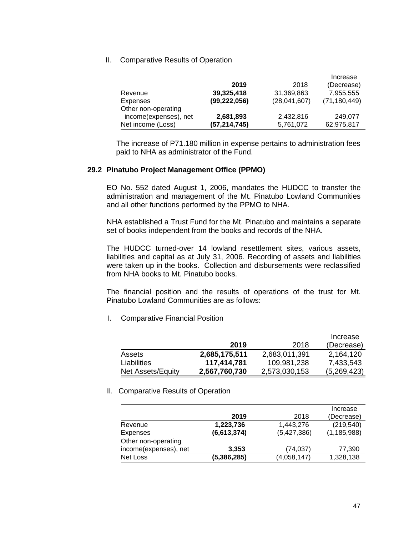II. Comparative Results of Operation

|                       |                |              | Increase       |
|-----------------------|----------------|--------------|----------------|
|                       | 2019           | 2018         | (Decrease)     |
| Revenue               | 39,325,418     | 31,369,863   | 7,955,555      |
| Expenses              | (99, 222, 056) | (28,041,607) | (71, 180, 449) |
| Other non-operating   |                |              |                |
| income(expenses), net | 2,681,893      | 2,432,816    | 249,077        |
| Net income (Loss)     | (57,214,745)   | 5,761,072    | 62,975,817     |

The increase of P71.180 million in expense pertains to administration fees paid to NHA as administrator of the Fund.

### **29.2 Pinatubo Project Management Office (PPMO)**

EO No. 552 dated August 1, 2006, mandates the HUDCC to transfer the administration and management of the Mt. Pinatubo Lowland Communities and all other functions performed by the PPMO to NHA.

NHA established a Trust Fund for the Mt. Pinatubo and maintains a separate set of books independent from the books and records of the NHA.

The HUDCC turned-over 14 lowland resettlement sites, various assets, liabilities and capital as at July 31, 2006. Recording of assets and liabilities were taken up in the books. Collection and disbursements were reclassified from NHA books to Mt. Pinatubo books.

The financial position and the results of operations of the trust for Mt. Pinatubo Lowland Communities are as follows:

I. Comparative Financial Position

|                   |               |               | Increase    |
|-------------------|---------------|---------------|-------------|
|                   | 2019          | 2018          | (Decrease)  |
| Assets            | 2,685,175,511 | 2,683,011,391 | 2,164,120   |
| Liabilities       | 117,414,781   | 109,981,238   | 7,433,543   |
| Net Assets/Equity | 2,567,760,730 | 2,573,030,153 | (5,269,423) |

#### II. Comparative Results of Operation

|                       |             |             | Increase      |
|-----------------------|-------------|-------------|---------------|
|                       | 2019        | 2018        | (Decrease)    |
| Revenue               | 1,223,736   | 1,443,276   | (219, 540)    |
| Expenses              | (6,613,374) | (5,427,386) | (1, 185, 988) |
| Other non-operating   |             |             |               |
| income(expenses), net | 3,353       | (74,037)    | 77,390        |
| Net Loss              | (5,386,285) | (4,058,147) | 1,328,138     |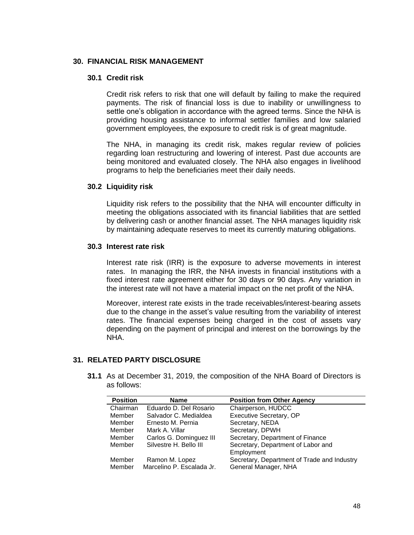### **30. FINANCIAL RISK MANAGEMENT**

## **30.1 Credit risk**

Credit risk refers to risk that one will default by failing to make the required payments. The risk of financial loss is due to inability or unwillingness to settle one's obligation in accordance with the agreed terms. Since the NHA is providing housing assistance to informal settler families and low salaried government employees, the exposure to credit risk is of great magnitude.

The NHA, in managing its credit risk, makes regular review of policies regarding loan restructuring and lowering of interest. Past due accounts are being monitored and evaluated closely. The NHA also engages in livelihood programs to help the beneficiaries meet their daily needs.

#### **30.2 Liquidity risk**

Liquidity risk refers to the possibility that the NHA will encounter difficulty in meeting the obligations associated with its financial liabilities that are settled by delivering cash or another financial asset. The NHA manages liquidity risk by maintaining adequate reserves to meet its currently maturing obligations.

#### **30.3 Interest rate risk**

Interest rate risk (IRR) is the exposure to adverse movements in interest rates. In managing the IRR, the NHA invests in financial institutions with a fixed interest rate agreement either for 30 days or 90 days. Any variation in the interest rate will not have a material impact on the net profit of the NHA.

Moreover, interest rate exists in the trade receivables/interest-bearing assets due to the change in the asset's value resulting from the variability of interest rates. The financial expenses being charged in the cost of assets vary depending on the payment of principal and interest on the borrowings by the NHA.

### **31. RELATED PARTY DISCLOSURE**

**31.1** As at December 31, 2019, the composition of the NHA Board of Directors is as follows:

| <b>Position</b> | <b>Name</b>               | <b>Position from Other Agency</b>           |
|-----------------|---------------------------|---------------------------------------------|
| Chairman        | Eduardo D. Del Rosario    | Chairperson, HUDCC                          |
| Member          | Salvador C. Medialdea     | <b>Executive Secretary, OP</b>              |
| Member          | Ernesto M. Pernia         | Secretary, NEDA                             |
| Member          | Mark A. Villar            | Secretary, DPWH                             |
| Member          | Carlos G. Dominguez III   | Secretary, Department of Finance            |
| Member          | Silvestre H. Bello III    | Secretary, Department of Labor and          |
|                 |                           | Employment                                  |
| Member          | Ramon M. Lopez            | Secretary, Department of Trade and Industry |
| Member          | Marcelino P. Escalada Jr. | General Manager, NHA                        |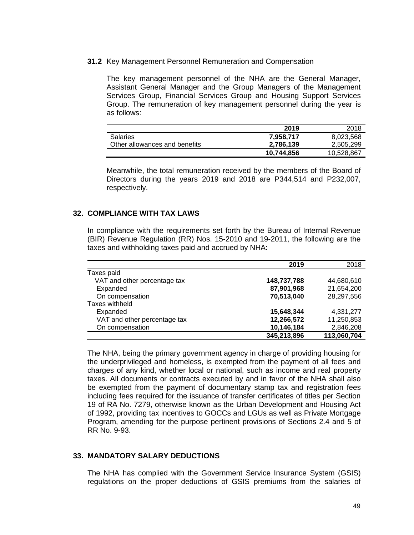### **31.2** Key Management Personnel Remuneration and Compensation

The key management personnel of the NHA are the General Manager, Assistant General Manager and the Group Managers of the Management Services Group, Financial Services Group and Housing Support Services Group. The remuneration of key management personnel during the year is as follows:

|                               | 2019       | 2018       |
|-------------------------------|------------|------------|
| <b>Salaries</b>               | 7.958.717  | 8,023,568  |
| Other allowances and benefits | 2,786,139  | 2,505,299  |
|                               | 10,744,856 | 10,528,867 |

Meanwhile, the total remuneration received by the members of the Board of Directors during the years 2019 and 2018 are P344,514 and P232,007, respectively.

#### **32. COMPLIANCE WITH TAX LAWS**

In compliance with the requirements set forth by the Bureau of Internal Revenue (BIR) Revenue Regulation (RR) Nos. 15-2010 and 19-2011, the following are the taxes and withholding taxes paid and accrued by NHA:

|                              | 2019        | 2018        |
|------------------------------|-------------|-------------|
| Taxes paid                   |             |             |
| VAT and other percentage tax | 148,737,788 | 44,680,610  |
| Expanded                     | 87,901,968  | 21,654,200  |
| On compensation              | 70,513,040  | 28,297,556  |
| Taxes withheld               |             |             |
| Expanded                     | 15,648,344  | 4,331,277   |
| VAT and other percentage tax | 12,266,572  | 11,250,853  |
| On compensation              | 10,146,184  | 2,846,208   |
|                              | 345,213,896 | 113,060,704 |

The NHA, being the primary government agency in charge of providing housing for the underprivileged and homeless, is exempted from the payment of all fees and charges of any kind, whether local or national, such as income and real property taxes. All documents or contracts executed by and in favor of the NHA shall also be exempted from the payment of documentary stamp tax and registration fees including fees required for the issuance of transfer certificates of titles per Section 19 of RA No. 7279, otherwise known as the Urban Development and Housing Act of 1992, providing tax incentives to GOCCs and LGUs as well as Private Mortgage Program, amending for the purpose pertinent provisions of Sections 2.4 and 5 of RR No. 9-93.

#### **33. MANDATORY SALARY DEDUCTIONS**

The NHA has complied with the Government Service Insurance System (GSIS) regulations on the proper deductions of GSIS premiums from the salaries of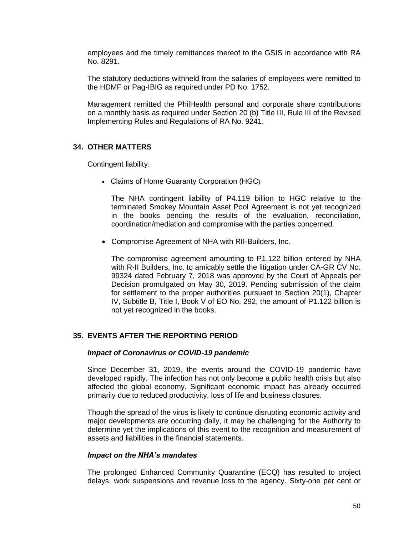employees and the timely remittances thereof to the GSIS in accordance with RA No. 8291.

The statutory deductions withheld from the salaries of employees were remitted to the HDMF or Pag-IBIG as required under PD No. 1752.

Management remitted the PhilHealth personal and corporate share contributions on a monthly basis as required under Section 20 (b) Title III, Rule III of the Revised Implementing Rules and Regulations of RA No. 9241.

# **34. OTHER MATTERS**

Contingent liability:

• Claims of Home Guaranty Corporation (HGC)

The NHA contingent liability of P4.119 billion to HGC relative to the terminated Smokey Mountain Asset Pool Agreement is not yet recognized in the books pending the results of the evaluation, reconciliation, coordination/mediation and compromise with the parties concerned.

• Compromise Agreement of NHA with RII-Builders, Inc.

The compromise agreement amounting to P1.122 billion entered by NHA with R-II Builders, Inc. to amicably settle the litigation under CA-GR CV No. 99324 dated February 7, 2018 was approved by the Court of Appeals per Decision promulgated on May 30, 2019. Pending submission of the claim for settlement to the proper authorities pursuant to Section 20(1), Chapter IV, Subtitle B, Title I, Book V of EO No. 292, the amount of P1.122 billion is not yet recognized in the books.

# **35. EVENTS AFTER THE REPORTING PERIOD**

### *Impact of Coronavirus or COVID-19 pandemic*

Since December 31, 2019, the events around the COVID-19 pandemic have developed rapidly. The infection has not only become a public health crisis but also affected the global economy. Significant economic impact has already occurred primarily due to reduced productivity, loss of life and business closures.

 Though the spread of the virus is likely to continue disrupting economic activity and major developments are occurring daily, it may be challenging for the Authority to determine yet the implications of this event to the recognition and measurement of assets and liabilities in the financial statements.

### *Impact on the NHA's mandates*

 The prolonged Enhanced Community Quarantine (ECQ) has resulted to project delays, work suspensions and revenue loss to the agency. Sixty-one per cent or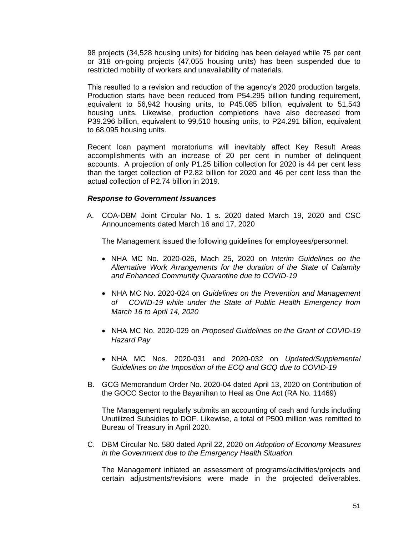98 projects (34,528 housing units) for bidding has been delayed while 75 per cent or 318 on-going projects (47,055 housing units) has been suspended due to restricted mobility of workers and unavailability of materials.

 This resulted to a revision and reduction of the agency's 2020 production targets. Production starts have been reduced from P54.295 billion funding requirement, equivalent to 56,942 housing units, to P45.085 billion, equivalent to 51,543 housing units. Likewise, production completions have also decreased from P39.296 billion, equivalent to 99,510 housing units, to P24.291 billion, equivalent to 68,095 housing units.

 Recent loan payment moratoriums will inevitably affect Key Result Areas accomplishments with an increase of 20 per cent in number of delinquent accounts. A projection of only P1.25 billion collection for 2020 is 44 per cent less than the target collection of P2.82 billion for 2020 and 46 per cent less than the actual collection of P2.74 billion in 2019.

### *Response to Government Issuances*

A. COA-DBM Joint Circular No. 1 s. 2020 dated March 19, 2020 and CSC Announcements dated March 16 and 17, 2020

The Management issued the following guidelines for employees/personnel:

- NHA MC No. 2020-026, Mach 25, 2020 on *Interim Guidelines on the Alternative Work Arrangements for the duration of the State of Calamity and Enhanced Community Quarantine due to COVID-19*
- •NHA MC No. 2020-024 on *Guidelines on the Prevention and Management of COVID-19 while under the State of Public Health Emergency from March 16 to April 14, 2020*
- •NHA MC No. 2020-029 on *Proposed Guidelines on the Grant of COVID-19 Hazard Pay*
- •NHA MC Nos. 2020-031 and 2020-032 on *Updated/Supplemental Guidelines on the Imposition of the ECQ and GCQ due to COVID-19*
- B. GCG Memorandum Order No. 2020-04 dated April 13, 2020 on Contribution of the GOCC Sector to the Bayanihan to Heal as One Act (RA No. 11469)

The Management regularly submits an accounting of cash and funds including Unutilized Subsidies to DOF. Likewise, a total of P500 million was remitted to Bureau of Treasury in April 2020.

C. DBM Circular No. 580 dated April 22, 2020 on *Adoption of Economy Measures in the Government due to the Emergency Health Situation*

The Management initiated an assessment of programs/activities/projects and certain adjustments/revisions were made in the projected deliverables.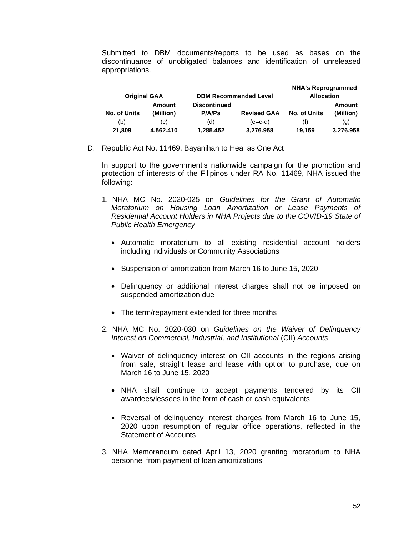Submitted to DBM documents/reports to be used as bases on the discontinuance of unobligated balances and identification of unreleased appropriations.

|                     |                                                     |                                      |                    | <b>NHA's Reprogrammed</b> |                     |
|---------------------|-----------------------------------------------------|--------------------------------------|--------------------|---------------------------|---------------------|
|                     | <b>DBM Recommended Level</b><br><b>Original GAA</b> |                                      | <b>Allocation</b>  |                           |                     |
| <b>No. of Units</b> | Amount<br>(Million)                                 | <b>Discontinued</b><br><b>P/A/Ps</b> | <b>Revised GAA</b> | <b>No. of Units</b>       | Amount<br>(Million) |
| (b)                 | (C)                                                 | (d)                                  | (e=c-d)            |                           | (g)                 |
| 21,809              | 4,562.410                                           | 1.285.452                            | 3,276.958          | 19.159                    | 3,276.958           |

D. Republic Act No. 11469, Bayanihan to Heal as One Act

In support to the government's nationwide campaign for the promotion and protection of interests of the Filipinos under RA No. 11469, NHA issued the following:

- 1.NHA MC No. 2020-025 on *Guidelines for the Grant of Automatic Moratorium on Housing Loan Amortization or Lease Payments of Residential Account Holders in NHA Projects due to the COVID-19 State of Public Health Emergency*
	- Automatic moratorium to all existing residential account holders including individuals or Community Associations
	- Suspension of amortization from March 16 to June 15, 2020
	- Delinquency or additional interest charges shall not be imposed on suspended amortization due
	- The term/repayment extended for three months
- 2.NHA MC No. 2020-030 on *Guidelines on the Waiver of Delinquency Interest on Commercial, Industrial, and Institutional* (CII) *Accounts*
	- Waiver of delinguency interest on CII accounts in the regions arising from sale, straight lease and lease with option to purchase, due on March 16 to June 15, 2020
	- NHA shall continue to accept payments tendered by its CII awardees/lessees in the form of cash or cash equivalents
	- Reversal of delinquency interest charges from March 16 to June 15, 2020 upon resumption of regular office operations, reflected in the Statement of Accounts
- 3. NHA Memorandum dated April 13, 2020 granting moratorium to NHA personnel from payment of loan amortizations